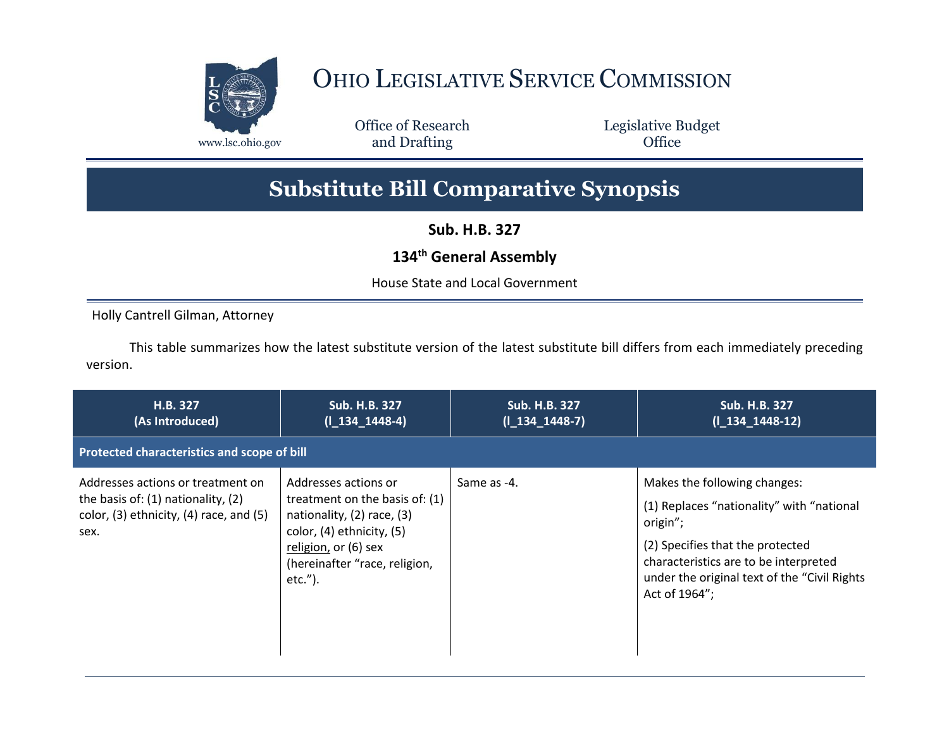

## OHIO LEGISLATIVE SERVICE COMMISSION

Office of Research www.lsc.ohio.gov **and Drafting Office** 

Legislative Budget

## **Substitute Bill Comparative Synopsis**

**Sub. H.B. 327**

## **134th General Assembly**

House State and Local Government

Holly Cantrell Gilman, Attorney

This table summarizes how the latest substitute version of the latest substitute bill differs from each immediately preceding version.

| H.B. 327<br>(As Introduced)                                                                                                          | Sub. H.B. 327<br>$(I_134_1448-4)$                                                                                                                                                        | <b>Sub. H.B. 327</b><br>$(I_134_1448-7)$ | Sub. H.B. 327<br>$(I_134_1448-12)$                                                                                                                                                                                                   |
|--------------------------------------------------------------------------------------------------------------------------------------|------------------------------------------------------------------------------------------------------------------------------------------------------------------------------------------|------------------------------------------|--------------------------------------------------------------------------------------------------------------------------------------------------------------------------------------------------------------------------------------|
| Protected characteristics and scope of bill                                                                                          |                                                                                                                                                                                          |                                          |                                                                                                                                                                                                                                      |
| Addresses actions or treatment on<br>the basis of: $(1)$ nationality, $(2)$<br>color, $(3)$ ethnicity, $(4)$ race, and $(5)$<br>sex. | Addresses actions or<br>treatment on the basis of: (1)<br>nationality, (2) race, (3)<br>color, (4) ethnicity, (5)<br>religion, or (6) sex<br>(hereinafter "race, religion,<br>$etc.'$ ). | Same as -4.                              | Makes the following changes:<br>(1) Replaces "nationality" with "national<br>origin";<br>(2) Specifies that the protected<br>characteristics are to be interpreted<br>under the original text of the "Civil Rights"<br>Act of 1964"; |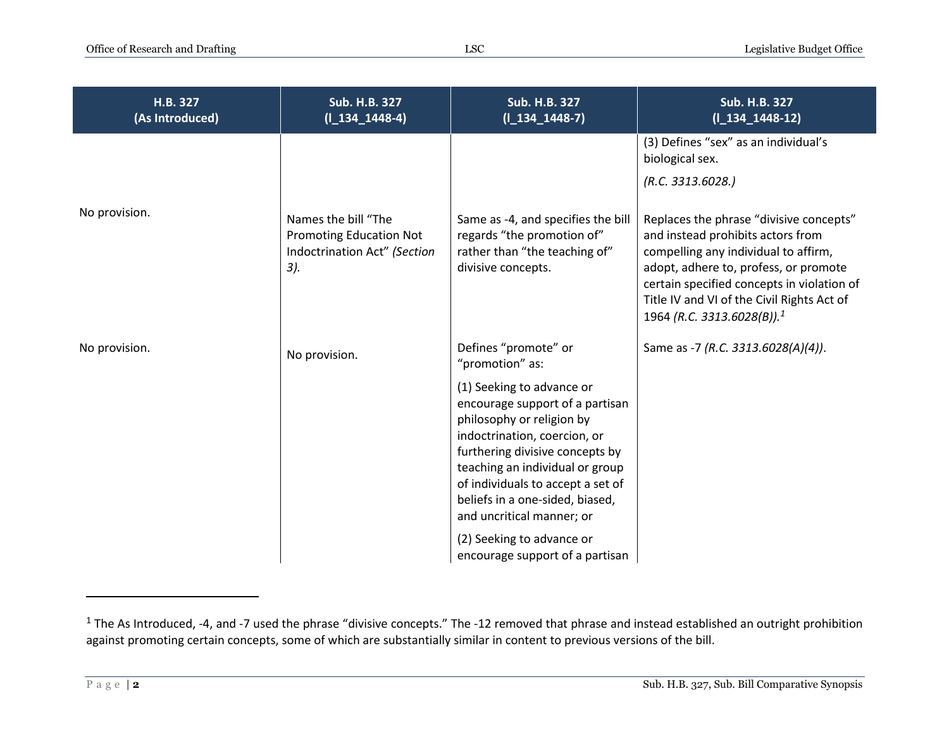| H.B. 327<br>(As Introduced) | Sub. H.B. 327<br>$(I_134_1448-4)$                                                              | Sub. H.B. 327<br>$(I_134_1448-7)$                                                                                                                                                                                                                                                                    | Sub. H.B. 327<br>$(I_134_1448-12)$                                                                                                                                                                                                                                                                  |
|-----------------------------|------------------------------------------------------------------------------------------------|------------------------------------------------------------------------------------------------------------------------------------------------------------------------------------------------------------------------------------------------------------------------------------------------------|-----------------------------------------------------------------------------------------------------------------------------------------------------------------------------------------------------------------------------------------------------------------------------------------------------|
|                             |                                                                                                |                                                                                                                                                                                                                                                                                                      | (3) Defines "sex" as an individual's<br>biological sex.                                                                                                                                                                                                                                             |
|                             |                                                                                                |                                                                                                                                                                                                                                                                                                      | (R.C. 3313.6028.)                                                                                                                                                                                                                                                                                   |
| No provision.               | Names the bill "The<br><b>Promoting Education Not</b><br>Indoctrination Act" (Section<br>$3$ . | Same as -4, and specifies the bill<br>regards "the promotion of"<br>rather than "the teaching of"<br>divisive concepts.                                                                                                                                                                              | Replaces the phrase "divisive concepts"<br>and instead prohibits actors from<br>compelling any individual to affirm,<br>adopt, adhere to, profess, or promote<br>certain specified concepts in violation of<br>Title IV and VI of the Civil Rights Act of<br>1964 (R.C. 3313.6028(B)). <sup>1</sup> |
| No provision.               | No provision.                                                                                  | Defines "promote" or<br>"promotion" as:                                                                                                                                                                                                                                                              | Same as -7 (R.C. 3313.6028(A)(4)).                                                                                                                                                                                                                                                                  |
|                             |                                                                                                | (1) Seeking to advance or<br>encourage support of a partisan<br>philosophy or religion by<br>indoctrination, coercion, or<br>furthering divisive concepts by<br>teaching an individual or group<br>of individuals to accept a set of<br>beliefs in a one-sided, biased,<br>and uncritical manner; or |                                                                                                                                                                                                                                                                                                     |
|                             |                                                                                                | (2) Seeking to advance or<br>encourage support of a partisan                                                                                                                                                                                                                                         |                                                                                                                                                                                                                                                                                                     |

 $1$  The As Introduced, -4, and -7 used the phrase "divisive concepts." The -12 removed that phrase and instead established an outright prohibition against promoting certain concepts, some of which are substantially similar in content to previous versions of the bill.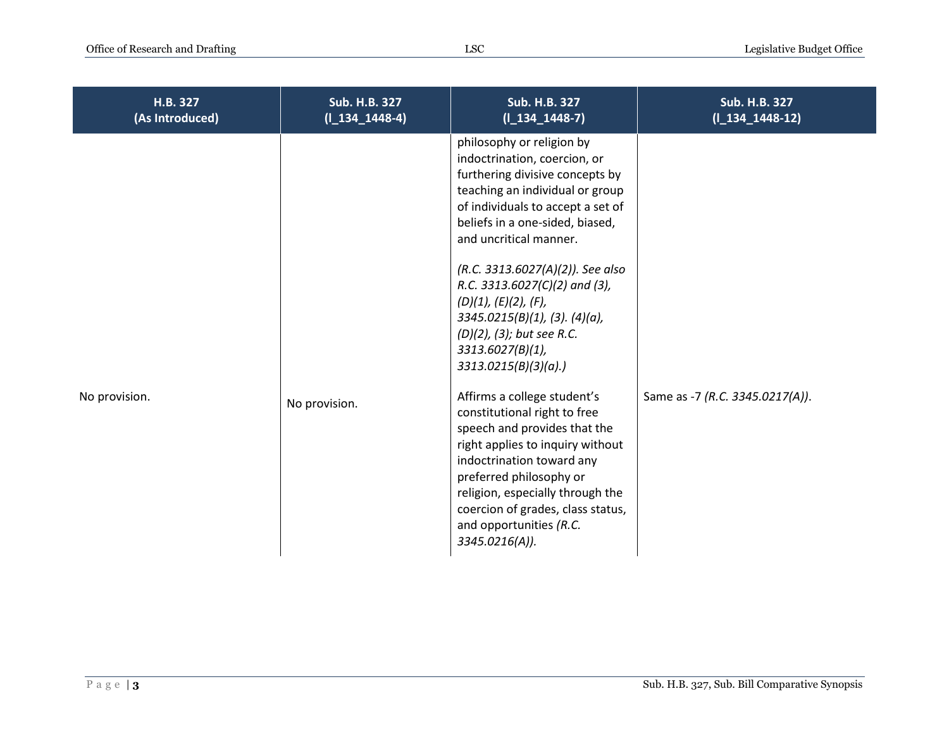| H.B. 327<br>(As Introduced) | <b>Sub. H.B. 327</b><br>$(I_134_1448-4)$ | <b>Sub. H.B. 327</b><br>$(I_134_1448-7)$                                                                                                                                                                                                                                                                                                                                                                                                      | <b>Sub. H.B. 327</b><br>$(I_134_1448-12)$ |
|-----------------------------|------------------------------------------|-----------------------------------------------------------------------------------------------------------------------------------------------------------------------------------------------------------------------------------------------------------------------------------------------------------------------------------------------------------------------------------------------------------------------------------------------|-------------------------------------------|
|                             |                                          | philosophy or religion by<br>indoctrination, coercion, or<br>furthering divisive concepts by<br>teaching an individual or group<br>of individuals to accept a set of<br>beliefs in a one-sided, biased,<br>and uncritical manner.<br>(R.C. 3313.6027(A)(2)). See also<br>R.C. 3313.6027(C)(2) and (3),<br>(D)(1), (E)(2), (F),<br>$3345.0215(B)(1)$ , (3). (4)(a),<br>(D)(2), (3); but see R.C.<br>$3313.6027(B)(1)$ ,<br>3313.0215(B)(3)(a). |                                           |
| No provision.               | No provision.                            | Affirms a college student's<br>constitutional right to free<br>speech and provides that the<br>right applies to inquiry without<br>indoctrination toward any<br>preferred philosophy or<br>religion, especially through the<br>coercion of grades, class status,<br>and opportunities (R.C.<br>3345.0216(A)).                                                                                                                                 | Same as -7 (R.C. 3345.0217(A)).           |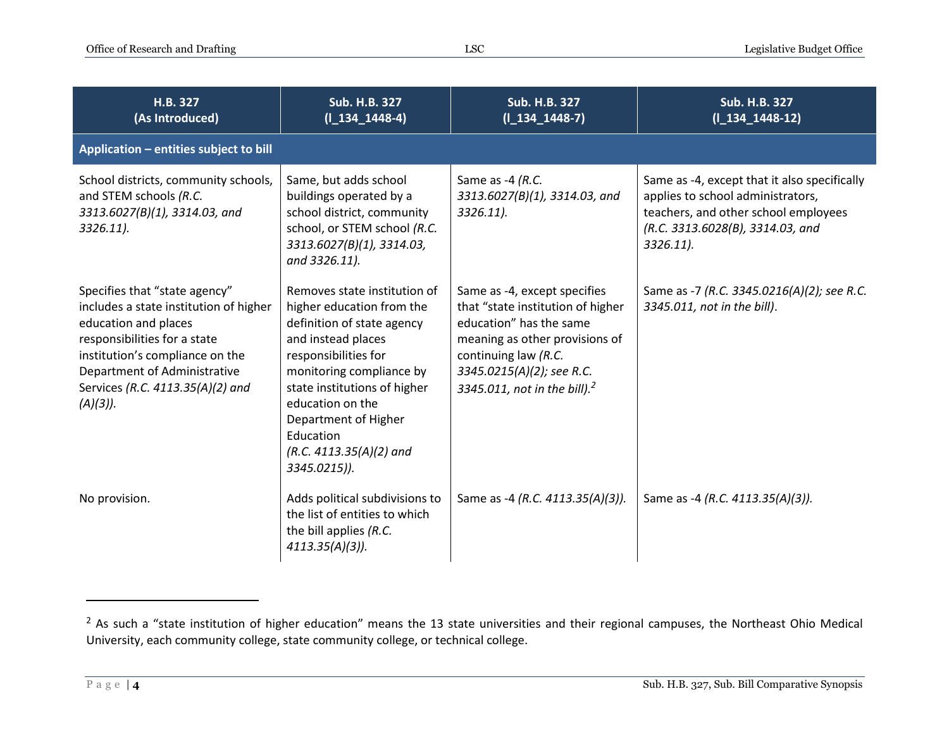| H.B. 327<br>(As Introduced)                                                                                                                                                                                                                           | <b>Sub. H.B. 327</b><br>$(I_134_1448-4)$                                                                                                                                                                                                                                                                | <b>Sub. H.B. 327</b><br>$(1_134_1448-7)$                                                                                                                                                                                        | <b>Sub. H.B. 327</b><br>$(I_134_1448-12)$                                                                                                                                  |
|-------------------------------------------------------------------------------------------------------------------------------------------------------------------------------------------------------------------------------------------------------|---------------------------------------------------------------------------------------------------------------------------------------------------------------------------------------------------------------------------------------------------------------------------------------------------------|---------------------------------------------------------------------------------------------------------------------------------------------------------------------------------------------------------------------------------|----------------------------------------------------------------------------------------------------------------------------------------------------------------------------|
| Application - entities subject to bill                                                                                                                                                                                                                |                                                                                                                                                                                                                                                                                                         |                                                                                                                                                                                                                                 |                                                                                                                                                                            |
| School districts, community schools,<br>and STEM schools (R.C.<br>3313.6027(B)(1), 3314.03, and<br>$3326.11$ ).                                                                                                                                       | Same, but adds school<br>buildings operated by a<br>school district, community<br>school, or STEM school (R.C.<br>3313.6027(B)(1), 3314.03,<br>and 3326.11).                                                                                                                                            | Same as -4 (R.C.<br>3313.6027(B)(1), 3314.03, and<br>3326.11).                                                                                                                                                                  | Same as -4, except that it also specifically<br>applies to school administrators,<br>teachers, and other school employees<br>(R.C. 3313.6028(B), 3314.03, and<br>3326.11). |
| Specifies that "state agency"<br>includes a state institution of higher<br>education and places<br>responsibilities for a state<br>institution's compliance on the<br>Department of Administrative<br>Services (R.C. 4113.35(A)(2) and<br>$(A)(3)$ ). | Removes state institution of<br>higher education from the<br>definition of state agency<br>and instead places<br>responsibilities for<br>monitoring compliance by<br>state institutions of higher<br>education on the<br>Department of Higher<br>Education<br>$(R.C. 4113.35(A)(2)$ and<br>3345.0215)). | Same as -4, except specifies<br>that "state institution of higher<br>education" has the same<br>meaning as other provisions of<br>continuing law (R.C.<br>3345.0215(A)(2); see R.C.<br>3345.011, not in the bill). <sup>2</sup> | Same as -7 (R.C. 3345.0216(A)(2); see R.C.<br>3345.011, not in the bill).                                                                                                  |
| No provision.                                                                                                                                                                                                                                         | Adds political subdivisions to<br>the list of entities to which<br>the bill applies (R.C.<br>$4113.35(A)(3)$ ).                                                                                                                                                                                         | Same as -4 (R.C. 4113.35(A)(3)).                                                                                                                                                                                                | Same as -4 (R.C. 4113.35(A)(3)).                                                                                                                                           |

 $2$  As such a "state institution of higher education" means the 13 state universities and their regional campuses, the Northeast Ohio Medical University, each community college, state community college, or technical college.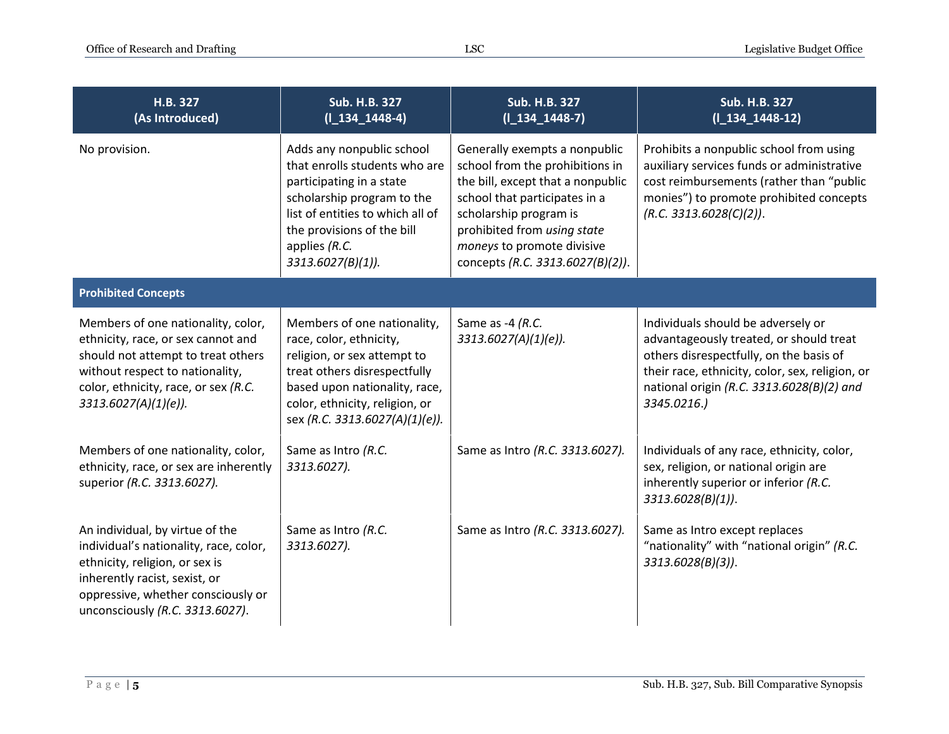| H.B. 327<br>(As Introduced)                                                                                                                                                                                           | Sub. H.B. 327<br>$(I_134_1448-4)$                                                                                                                                                                                               | Sub. H.B. 327<br>$(I_134_1448-7)$                                                                                                                                                                                                                                 | Sub. H.B. 327<br>$(I_134_1448-12)$                                                                                                                                                                                                      |
|-----------------------------------------------------------------------------------------------------------------------------------------------------------------------------------------------------------------------|---------------------------------------------------------------------------------------------------------------------------------------------------------------------------------------------------------------------------------|-------------------------------------------------------------------------------------------------------------------------------------------------------------------------------------------------------------------------------------------------------------------|-----------------------------------------------------------------------------------------------------------------------------------------------------------------------------------------------------------------------------------------|
| No provision.                                                                                                                                                                                                         | Adds any nonpublic school<br>that enrolls students who are<br>participating in a state<br>scholarship program to the<br>list of entities to which all of<br>the provisions of the bill<br>applies (R.C.<br>$3313.6027(B)(1)$ ). | Generally exempts a nonpublic<br>school from the prohibitions in<br>the bill, except that a nonpublic<br>school that participates in a<br>scholarship program is<br>prohibited from using state<br>moneys to promote divisive<br>concepts (R.C. 3313.6027(B)(2)). | Prohibits a nonpublic school from using<br>auxiliary services funds or administrative<br>cost reimbursements (rather than "public<br>monies") to promote prohibited concepts<br>(R.C. 3313.6028(C)(2)).                                 |
| <b>Prohibited Concepts</b>                                                                                                                                                                                            |                                                                                                                                                                                                                                 |                                                                                                                                                                                                                                                                   |                                                                                                                                                                                                                                         |
| Members of one nationality, color,<br>ethnicity, race, or sex cannot and<br>should not attempt to treat others<br>without respect to nationality,<br>color, ethnicity, race, or sex (R.C.<br>$3313.6027(A)(1)(e)$ ).  | Members of one nationality,<br>race, color, ethnicity,<br>religion, or sex attempt to<br>treat others disrespectfully<br>based upon nationality, race,<br>color, ethnicity, religion, or<br>sex (R.C. 3313.6027(A)(1)(e)).      | Same as -4 (R.C.<br>3313.6027(A)(1)(e)).                                                                                                                                                                                                                          | Individuals should be adversely or<br>advantageously treated, or should treat<br>others disrespectfully, on the basis of<br>their race, ethnicity, color, sex, religion, or<br>national origin (R.C. 3313.6028(B)(2) and<br>3345.0216.) |
| Members of one nationality, color,<br>ethnicity, race, or sex are inherently<br>superior (R.C. 3313.6027).                                                                                                            | Same as Intro (R.C.<br>3313.6027).                                                                                                                                                                                              | Same as Intro (R.C. 3313.6027).                                                                                                                                                                                                                                   | Individuals of any race, ethnicity, color,<br>sex, religion, or national origin are<br>inherently superior or inferior (R.C.<br>$3313.6028(B)(1)$ .                                                                                     |
| An individual, by virtue of the<br>individual's nationality, race, color,<br>ethnicity, religion, or sex is<br>inherently racist, sexist, or<br>oppressive, whether consciously or<br>unconsciously (R.C. 3313.6027). | Same as Intro (R.C.<br>3313.6027).                                                                                                                                                                                              | Same as Intro (R.C. 3313.6027).                                                                                                                                                                                                                                   | Same as Intro except replaces<br>"nationality" with "national origin" (R.C.<br>3313.6028(B)(3)).                                                                                                                                        |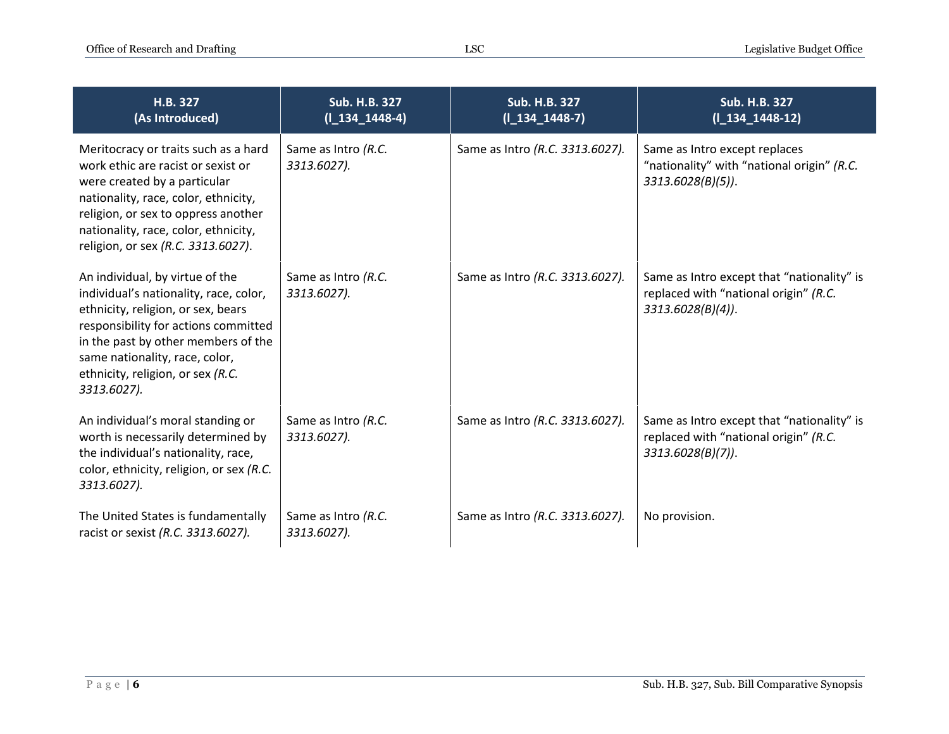| H.B. 327<br>(As Introduced)                                                                                                                                                                                                                                                          | <b>Sub. H.B. 327</b><br>$(I_134_1448-4)$ | Sub. H.B. 327<br>$(I_134_1448-7)$ | <b>Sub. H.B. 327</b><br>$(I_134_1448-12)$                                                                   |
|--------------------------------------------------------------------------------------------------------------------------------------------------------------------------------------------------------------------------------------------------------------------------------------|------------------------------------------|-----------------------------------|-------------------------------------------------------------------------------------------------------------|
| Meritocracy or traits such as a hard<br>work ethic are racist or sexist or<br>were created by a particular<br>nationality, race, color, ethnicity,<br>religion, or sex to oppress another<br>nationality, race, color, ethnicity,<br>religion, or sex (R.C. 3313.6027).              | Same as Intro (R.C.<br>3313.6027).       | Same as Intro (R.C. 3313.6027).   | Same as Intro except replaces<br>"nationality" with "national origin" (R.C.<br>$3313.6028(B)(5)$ .          |
| An individual, by virtue of the<br>individual's nationality, race, color,<br>ethnicity, religion, or sex, bears<br>responsibility for actions committed<br>in the past by other members of the<br>same nationality, race, color,<br>ethnicity, religion, or sex (R.C.<br>3313.6027). | Same as Intro (R.C.<br>3313.6027).       | Same as Intro (R.C. 3313.6027).   | Same as Intro except that "nationality" is<br>replaced with "national origin" (R.C.<br>$3313.6028(B)(4)$ .  |
| An individual's moral standing or<br>worth is necessarily determined by<br>the individual's nationality, race,<br>color, ethnicity, religion, or sex (R.C.<br>3313.6027).                                                                                                            | Same as Intro (R.C.<br>3313.6027).       | Same as Intro (R.C. 3313.6027).   | Same as Intro except that "nationality" is<br>replaced with "national origin" (R.C.<br>$3313.6028(B)(7)$ ). |
| The United States is fundamentally<br>racist or sexist (R.C. 3313.6027).                                                                                                                                                                                                             | Same as Intro (R.C.<br>3313.6027).       | Same as Intro (R.C. 3313.6027).   | No provision.                                                                                               |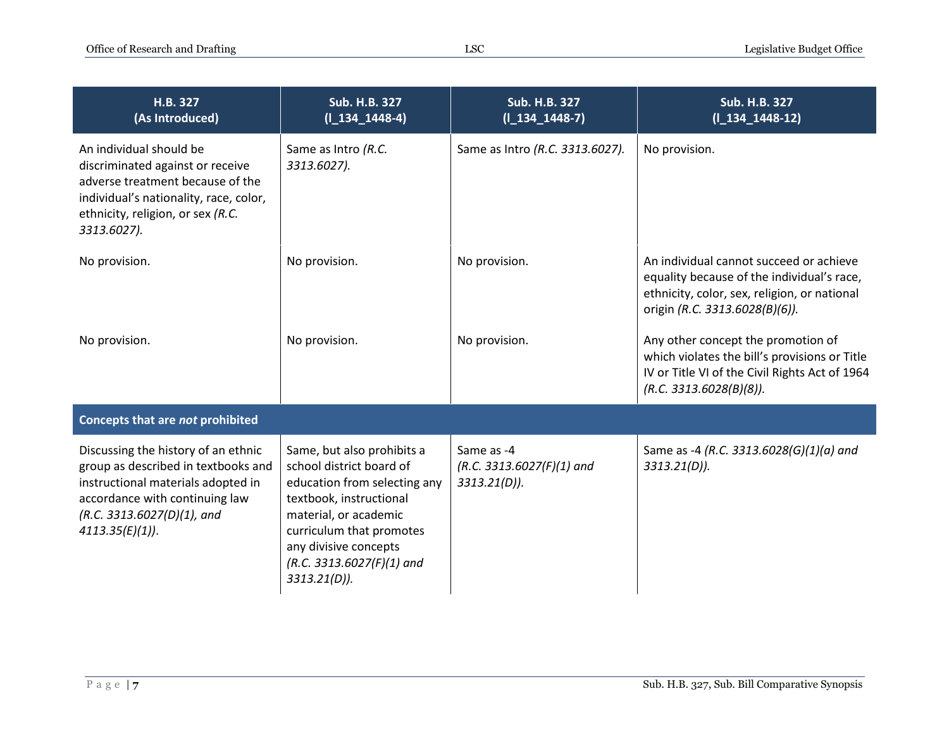| H.B. 327<br>(As Introduced)                                                                                                                                                                           | <b>Sub. H.B. 327</b><br>$(I_134_1448-4)$                                                                                                                                                                                                          | <b>Sub. H.B. 327</b><br>$(I_134_1448-7)$                     | <b>Sub. H.B. 327</b><br>$(I_134_1448-12)$                                                                                                                               |
|-------------------------------------------------------------------------------------------------------------------------------------------------------------------------------------------------------|---------------------------------------------------------------------------------------------------------------------------------------------------------------------------------------------------------------------------------------------------|--------------------------------------------------------------|-------------------------------------------------------------------------------------------------------------------------------------------------------------------------|
| An individual should be<br>discriminated against or receive<br>adverse treatment because of the<br>individual's nationality, race, color,<br>ethnicity, religion, or sex (R.C.<br>3313.6027).         | Same as Intro (R.C.<br>3313.6027).                                                                                                                                                                                                                | Same as Intro (R.C. 3313.6027).                              | No provision.                                                                                                                                                           |
| No provision.                                                                                                                                                                                         | No provision.                                                                                                                                                                                                                                     | No provision.                                                | An individual cannot succeed or achieve<br>equality because of the individual's race,<br>ethnicity, color, sex, religion, or national<br>origin (R.C. 3313.6028(B)(6)). |
| No provision.                                                                                                                                                                                         | No provision.                                                                                                                                                                                                                                     | No provision.                                                | Any other concept the promotion of<br>which violates the bill's provisions or Title<br>IV or Title VI of the Civil Rights Act of 1964<br>(R.C. 3313.6028(B)(8)).        |
| Concepts that are not prohibited                                                                                                                                                                      |                                                                                                                                                                                                                                                   |                                                              |                                                                                                                                                                         |
| Discussing the history of an ethnic<br>group as described in textbooks and<br>instructional materials adopted in<br>accordance with continuing law<br>(R.C. 3313.6027(D)(1), and<br>$4113.35(E)(1)$ . | Same, but also prohibits a<br>school district board of<br>education from selecting any<br>textbook, instructional<br>material, or academic<br>curriculum that promotes<br>any divisive concepts<br>$(R.C. 3313.6027(F)(1)$ and<br>$3313.21(D)$ ). | Same as -4<br>$(R.C. 3313.6027(F)(1)$ and<br>$3313.21(D)$ ). | Same as -4 (R.C. 3313.6028(G)(1)(a) and<br>$3313.21(D)$ ).                                                                                                              |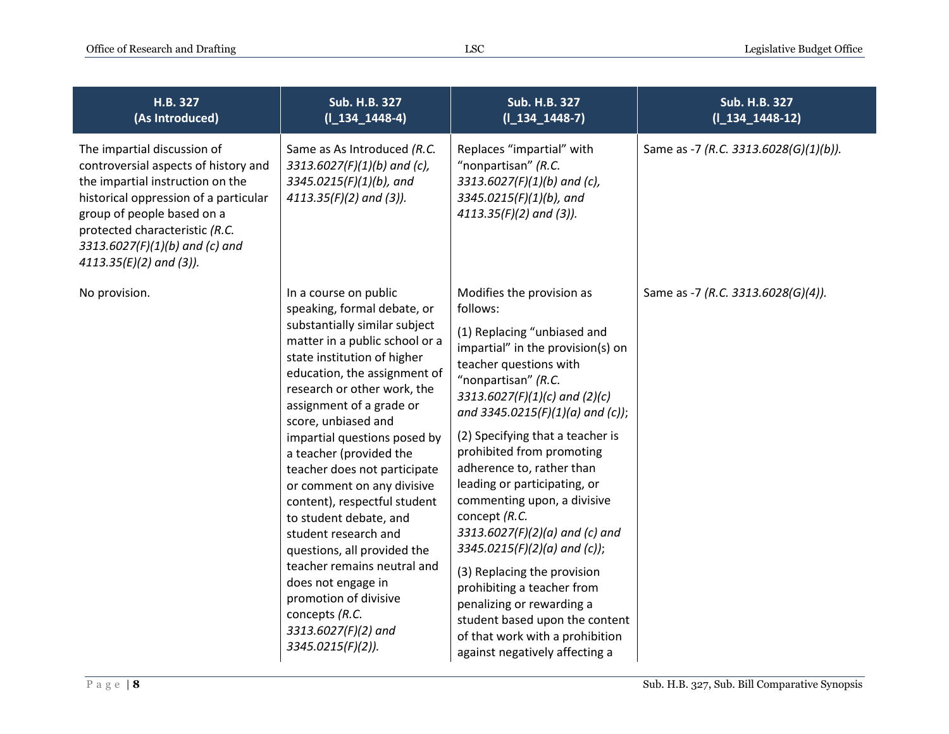| H.B. 327<br>(As Introduced)                                                                                                                                                                                                                                                     | <b>Sub. H.B. 327</b><br>$(I_134_1448-4)$                                                                                                                                                                                                                                                                                                                                                                                                                                                                                                                                                                                                                       | <b>Sub. H.B. 327</b><br>$(I_134_1448-7)$                                                                                                                                                                                                                                                                                                                                                                                                                                                                                                                                                                                                                                             | <b>Sub. H.B. 327</b><br>$(I_134_1448-12)$ |
|---------------------------------------------------------------------------------------------------------------------------------------------------------------------------------------------------------------------------------------------------------------------------------|----------------------------------------------------------------------------------------------------------------------------------------------------------------------------------------------------------------------------------------------------------------------------------------------------------------------------------------------------------------------------------------------------------------------------------------------------------------------------------------------------------------------------------------------------------------------------------------------------------------------------------------------------------------|--------------------------------------------------------------------------------------------------------------------------------------------------------------------------------------------------------------------------------------------------------------------------------------------------------------------------------------------------------------------------------------------------------------------------------------------------------------------------------------------------------------------------------------------------------------------------------------------------------------------------------------------------------------------------------------|-------------------------------------------|
| The impartial discussion of<br>controversial aspects of history and<br>the impartial instruction on the<br>historical oppression of a particular<br>group of people based on a<br>protected characteristic (R.C.<br>3313.6027(F)(1)(b) and (c) and<br>$4113.35(E)(2)$ and (3)). | Same as As Introduced (R.C.<br>3313.6027(F)(1)(b) and (c),<br>3345.0215(F)(1)(b), and<br>$4113.35(F)(2)$ and (3)).                                                                                                                                                                                                                                                                                                                                                                                                                                                                                                                                             | Replaces "impartial" with<br>"nonpartisan" (R.C.<br>3313.6027(F)(1)(b) and (c),<br>3345.0215(F)(1)(b), and<br>$4113.35(F)(2)$ and (3)).                                                                                                                                                                                                                                                                                                                                                                                                                                                                                                                                              | Same as -7 (R.C. 3313.6028(G)(1)(b)).     |
| No provision.                                                                                                                                                                                                                                                                   | In a course on public<br>speaking, formal debate, or<br>substantially similar subject<br>matter in a public school or a<br>state institution of higher<br>education, the assignment of<br>research or other work, the<br>assignment of a grade or<br>score, unbiased and<br>impartial questions posed by<br>a teacher (provided the<br>teacher does not participate<br>or comment on any divisive<br>content), respectful student<br>to student debate, and<br>student research and<br>questions, all provided the<br>teacher remains neutral and<br>does not engage in<br>promotion of divisive<br>concepts (R.C.<br>3313.6027(F)(2) and<br>3345.0215(F)(2)). | Modifies the provision as<br>follows:<br>(1) Replacing "unbiased and<br>impartial" in the provision(s) on<br>teacher questions with<br>"nonpartisan" (R.C.<br>3313.6027(F)(1)(c) and (2)(c)<br>and 3345.0215(F)(1)(a) and (c));<br>(2) Specifying that a teacher is<br>prohibited from promoting<br>adherence to, rather than<br>leading or participating, or<br>commenting upon, a divisive<br>concept (R.C.<br>$3313.6027(F)(2)(a)$ and (c) and<br>$3345.0215(F)(2)(a)$ and (c));<br>(3) Replacing the provision<br>prohibiting a teacher from<br>penalizing or rewarding a<br>student based upon the content<br>of that work with a prohibition<br>against negatively affecting a | Same as -7 (R.C. 3313.6028(G)(4)).        |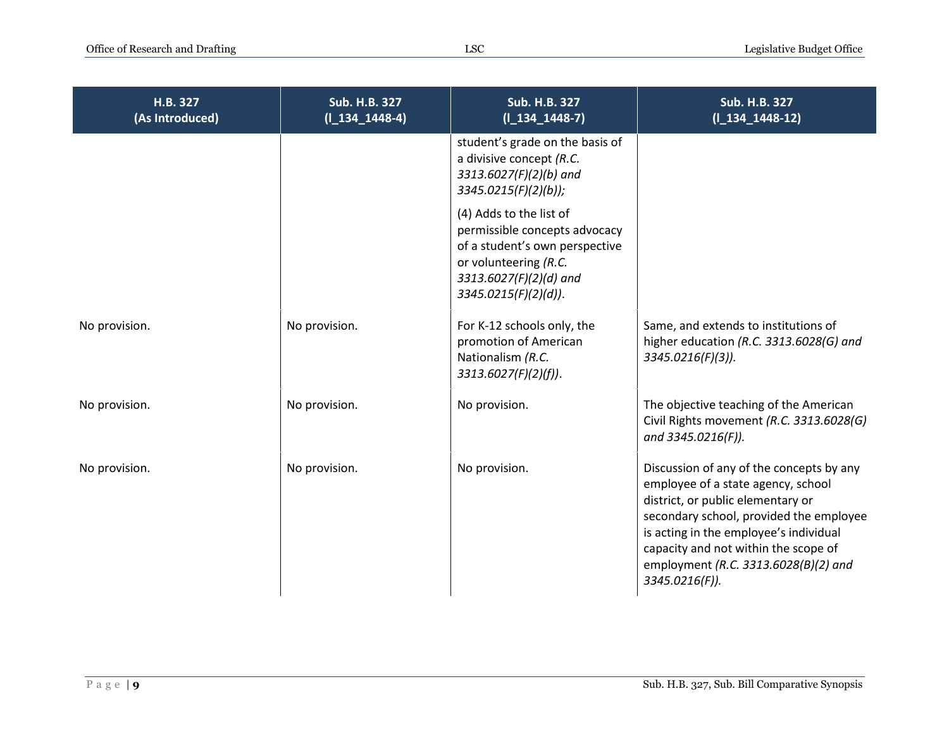| H.B. 327<br>(As Introduced) | <b>Sub. H.B. 327</b><br>$(I_134_1448-4)$ | <b>Sub. H.B. 327</b><br>$(I_134_1448-7)$                                                                                                                                 | <b>Sub. H.B. 327</b><br>$(I_134_1448-12)$                                                                                                                                                                                                                                                                  |
|-----------------------------|------------------------------------------|--------------------------------------------------------------------------------------------------------------------------------------------------------------------------|------------------------------------------------------------------------------------------------------------------------------------------------------------------------------------------------------------------------------------------------------------------------------------------------------------|
|                             |                                          | student's grade on the basis of<br>a divisive concept (R.C.<br>3313.6027(F)(2)(b) and<br>$3345.0215(F)(2)(b))$ ;                                                         |                                                                                                                                                                                                                                                                                                            |
|                             |                                          | (4) Adds to the list of<br>permissible concepts advocacy<br>of a student's own perspective<br>or volunteering (R.C.<br>3313.6027(F)(2)(d) and<br>$3345.0215(F)(2)(d)$ ). |                                                                                                                                                                                                                                                                                                            |
| No provision.               | No provision.                            | For K-12 schools only, the<br>promotion of American<br>Nationalism (R.C.<br>3313.6027(F)(2)(f)).                                                                         | Same, and extends to institutions of<br>higher education (R.C. 3313.6028(G) and<br>3345.0216(F)(3)).                                                                                                                                                                                                       |
| No provision.               | No provision.                            | No provision.                                                                                                                                                            | The objective teaching of the American<br>Civil Rights movement (R.C. 3313.6028(G)<br>and 3345.0216(F)).                                                                                                                                                                                                   |
| No provision.               | No provision.                            | No provision.                                                                                                                                                            | Discussion of any of the concepts by any<br>employee of a state agency, school<br>district, or public elementary or<br>secondary school, provided the employee<br>is acting in the employee's individual<br>capacity and not within the scope of<br>employment (R.C. 3313.6028(B)(2) and<br>3345.0216(F)). |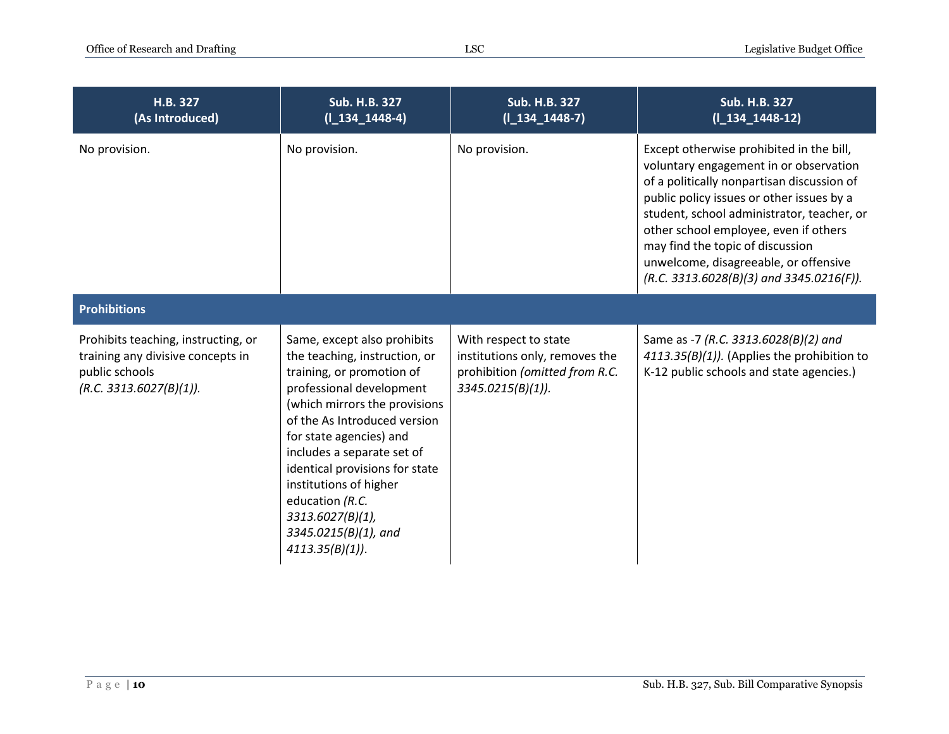| H.B. 327<br>(As Introduced)                                                                                           | <b>Sub. H.B. 327</b><br>$(I_134_1448-4)$                                                                                                                                                                                                                                                                                                                                                        | Sub. H.B. 327<br>$(I_134_1448-7)$                                                                                 | Sub. H.B. 327<br>$(I_134_1448-12)$                                                                                                                                                                                                                                                                                                                                                              |
|-----------------------------------------------------------------------------------------------------------------------|-------------------------------------------------------------------------------------------------------------------------------------------------------------------------------------------------------------------------------------------------------------------------------------------------------------------------------------------------------------------------------------------------|-------------------------------------------------------------------------------------------------------------------|-------------------------------------------------------------------------------------------------------------------------------------------------------------------------------------------------------------------------------------------------------------------------------------------------------------------------------------------------------------------------------------------------|
| No provision.                                                                                                         | No provision.                                                                                                                                                                                                                                                                                                                                                                                   | No provision.                                                                                                     | Except otherwise prohibited in the bill,<br>voluntary engagement in or observation<br>of a politically nonpartisan discussion of<br>public policy issues or other issues by a<br>student, school administrator, teacher, or<br>other school employee, even if others<br>may find the topic of discussion<br>unwelcome, disagreeable, or offensive<br>$(R.C. 3313.6028(B)(3)$ and 3345.0216(F)). |
| <b>Prohibitions</b>                                                                                                   |                                                                                                                                                                                                                                                                                                                                                                                                 |                                                                                                                   |                                                                                                                                                                                                                                                                                                                                                                                                 |
| Prohibits teaching, instructing, or<br>training any divisive concepts in<br>public schools<br>(R.C. 3313.6027(B)(1)). | Same, except also prohibits<br>the teaching, instruction, or<br>training, or promotion of<br>professional development<br>(which mirrors the provisions<br>of the As Introduced version<br>for state agencies) and<br>includes a separate set of<br>identical provisions for state<br>institutions of higher<br>education (R.C.<br>3313.6027(B)(1),<br>3345.0215(B)(1), and<br>$4113.35(B)(1)$ . | With respect to state<br>institutions only, removes the<br>prohibition (omitted from R.C.<br>$3345.0215(B)(1)$ ). | Same as -7 (R.C. 3313.6028(B)(2) and<br>4113.35(B)(1)). (Applies the prohibition to<br>K-12 public schools and state agencies.)                                                                                                                                                                                                                                                                 |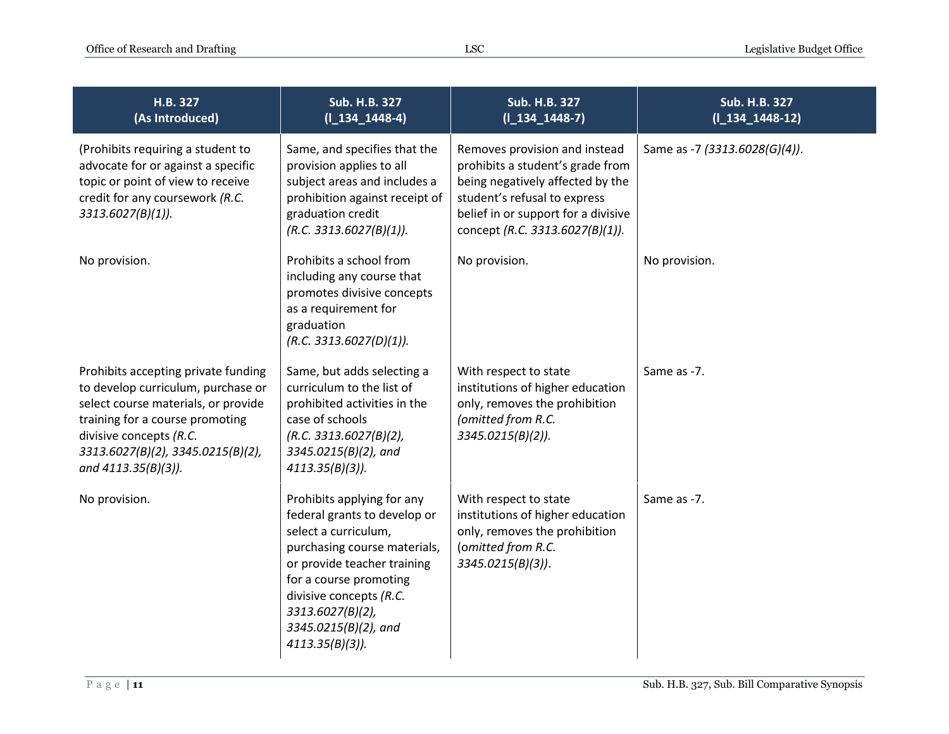| H.B. 327<br>(As Introduced)                                                                                                                                                                                                                | Sub. H.B. 327<br>$(I_134_1448-4)$                                                                                                                                                                                                                                        | <b>Sub. H.B. 327</b><br>$(I_134_1448-7)$                                                                                                                                                                        | <b>Sub. H.B. 327</b><br>$(I_134_1448-12)$ |
|--------------------------------------------------------------------------------------------------------------------------------------------------------------------------------------------------------------------------------------------|--------------------------------------------------------------------------------------------------------------------------------------------------------------------------------------------------------------------------------------------------------------------------|-----------------------------------------------------------------------------------------------------------------------------------------------------------------------------------------------------------------|-------------------------------------------|
| (Prohibits requiring a student to<br>advocate for or against a specific<br>topic or point of view to receive<br>credit for any coursework (R.C.<br>$3313.6027(B)(1)$ ).                                                                    | Same, and specifies that the<br>provision applies to all<br>subject areas and includes a<br>prohibition against receipt of<br>graduation credit<br>(R.C. 3313.6027(B)(1)).                                                                                               | Removes provision and instead<br>prohibits a student's grade from<br>being negatively affected by the<br>student's refusal to express<br>belief in or support for a divisive<br>concept (R.C. 3313.6027(B)(1)). | Same as -7 (3313.6028(G)(4)).             |
| No provision.                                                                                                                                                                                                                              | Prohibits a school from<br>including any course that<br>promotes divisive concepts<br>as a requirement for<br>graduation<br>(R.C. 3313.6027(D)(1)).                                                                                                                      | No provision.                                                                                                                                                                                                   | No provision.                             |
| Prohibits accepting private funding<br>to develop curriculum, purchase or<br>select course materials, or provide<br>training for a course promoting<br>divisive concepts (R.C.<br>3313.6027(B)(2), 3345.0215(B)(2),<br>and 4113.35(B)(3)). | Same, but adds selecting a<br>curriculum to the list of<br>prohibited activities in the<br>case of schools<br>(R.C. 3313.6027(B)(2),<br>3345.0215(B)(2), and<br>$4113.35(B)(3)$ ).                                                                                       | With respect to state<br>institutions of higher education<br>only, removes the prohibition<br>(omitted from R.C.<br>$3345.0215(B)(2)$ ).                                                                        | Same as -7.                               |
| No provision.                                                                                                                                                                                                                              | Prohibits applying for any<br>federal grants to develop or<br>select a curriculum,<br>purchasing course materials,<br>or provide teacher training<br>for a course promoting<br>divisive concepts (R.C.<br>3313.6027(B)(2),<br>3345.0215(B)(2), and<br>$4113.35(B)(3)$ ). | With respect to state<br>institutions of higher education<br>only, removes the prohibition<br>(omitted from R.C.<br>$3345.0215(B)(3)$ ).                                                                        | Same as -7.                               |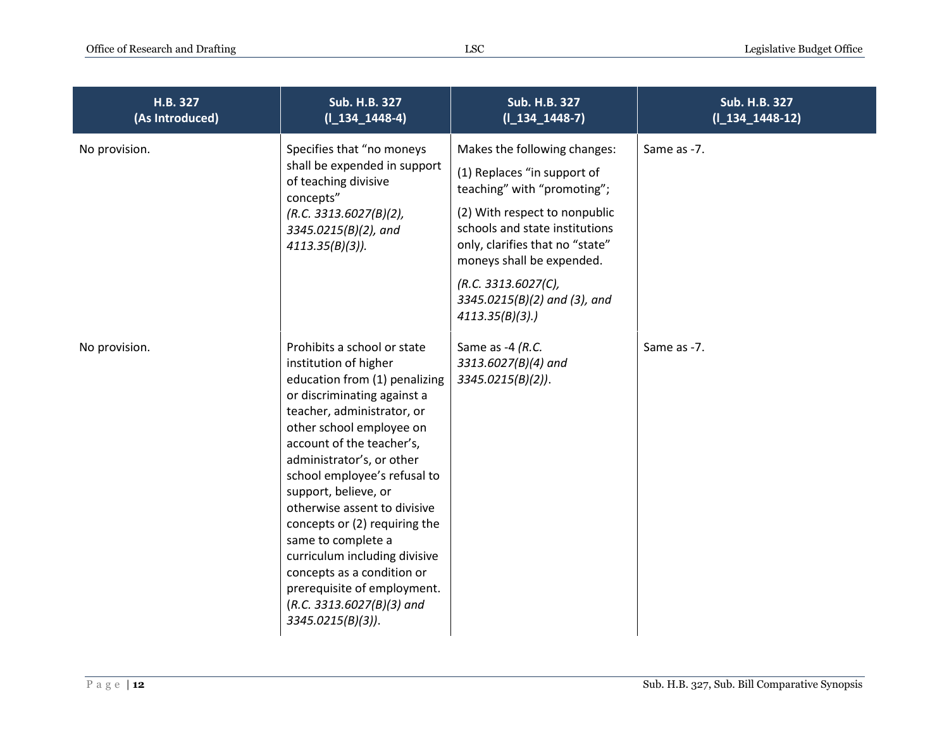| H.B. 327<br>(As Introduced) | <b>Sub. H.B. 327</b><br>$(I_134_1448-4)$                                                                                                                                                                                                                                                                                                                                                                                                                                                                                                     | Sub. H.B. 327<br>$(I_134_1448-7)$                                                                                                                                                                                                                                                                      | Sub. H.B. 327<br>$(I_134_1448-12)$ |
|-----------------------------|----------------------------------------------------------------------------------------------------------------------------------------------------------------------------------------------------------------------------------------------------------------------------------------------------------------------------------------------------------------------------------------------------------------------------------------------------------------------------------------------------------------------------------------------|--------------------------------------------------------------------------------------------------------------------------------------------------------------------------------------------------------------------------------------------------------------------------------------------------------|------------------------------------|
| No provision.               | Specifies that "no moneys<br>shall be expended in support<br>of teaching divisive<br>concepts"<br>(R.C. 3313.6027(B)(2),<br>3345.0215(B)(2), and<br>$4113.35(B)(3)$ ).                                                                                                                                                                                                                                                                                                                                                                       | Makes the following changes:<br>(1) Replaces "in support of<br>teaching" with "promoting";<br>(2) With respect to nonpublic<br>schools and state institutions<br>only, clarifies that no "state"<br>moneys shall be expended.<br>(R.C. 3313.6027(C),<br>3345.0215(B)(2) and (3), and<br>4113.35(B)(3). | Same as -7.                        |
| No provision.               | Prohibits a school or state<br>institution of higher<br>education from (1) penalizing<br>or discriminating against a<br>teacher, administrator, or<br>other school employee on<br>account of the teacher's,<br>administrator's, or other<br>school employee's refusal to<br>support, believe, or<br>otherwise assent to divisive<br>concepts or (2) requiring the<br>same to complete a<br>curriculum including divisive<br>concepts as a condition or<br>prerequisite of employment.<br>$(R.C. 3313.6027(B)(3)$ and<br>$3345.0215(B)(3)$ ). | Same as -4 (R.C.<br>3313.6027(B)(4) and<br>$3345.0215(B)(2)$ ).                                                                                                                                                                                                                                        | Same as -7.                        |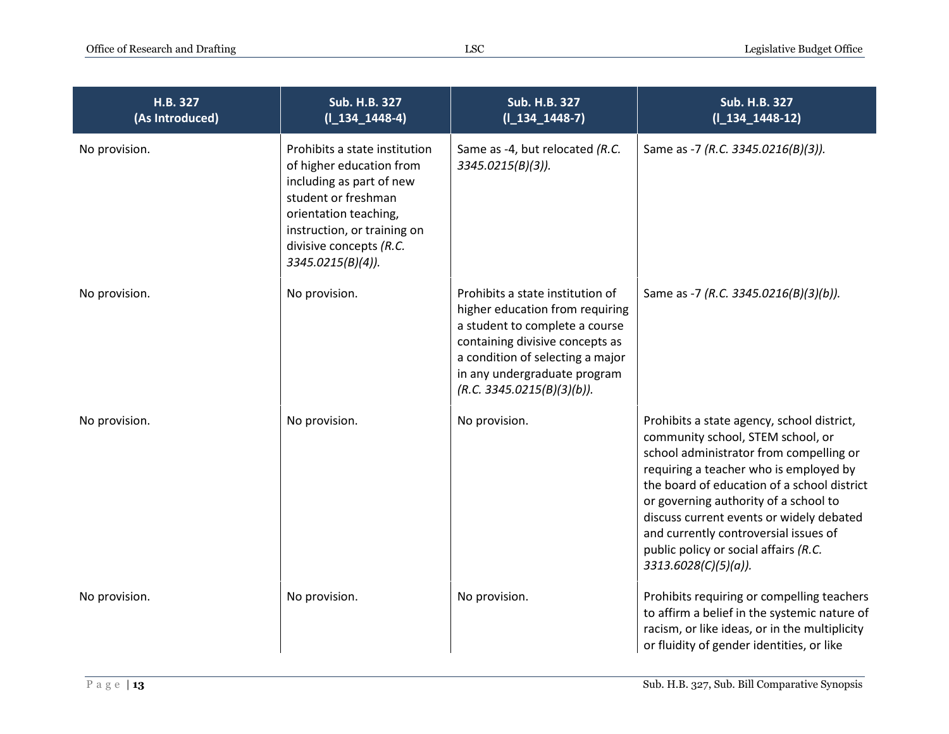| H.B. 327<br>(As Introduced) | Sub. H.B. 327<br>$(I_134_1448-4)$                                                                                                                                                                                    | Sub. H.B. 327<br>$(I_134_1448-7)$                                                                                                                                                                                                          | Sub. H.B. 327<br>$(I_134_1448-12)$                                                                                                                                                                                                                                                                                                                                                                                    |
|-----------------------------|----------------------------------------------------------------------------------------------------------------------------------------------------------------------------------------------------------------------|--------------------------------------------------------------------------------------------------------------------------------------------------------------------------------------------------------------------------------------------|-----------------------------------------------------------------------------------------------------------------------------------------------------------------------------------------------------------------------------------------------------------------------------------------------------------------------------------------------------------------------------------------------------------------------|
| No provision.               | Prohibits a state institution<br>of higher education from<br>including as part of new<br>student or freshman<br>orientation teaching,<br>instruction, or training on<br>divisive concepts (R.C.<br>3345.0215(B)(4)). | Same as -4, but relocated (R.C.<br>$3345.0215(B)(3)$ ).                                                                                                                                                                                    | Same as -7 (R.C. 3345.0216(B)(3)).                                                                                                                                                                                                                                                                                                                                                                                    |
| No provision.               | No provision.                                                                                                                                                                                                        | Prohibits a state institution of<br>higher education from requiring<br>a student to complete a course<br>containing divisive concepts as<br>a condition of selecting a major<br>in any undergraduate program<br>(R.C. 3345.0215(B)(3)(b)). | Same as -7 (R.C. 3345.0216(B)(3)(b)).                                                                                                                                                                                                                                                                                                                                                                                 |
| No provision.               | No provision.                                                                                                                                                                                                        | No provision.                                                                                                                                                                                                                              | Prohibits a state agency, school district,<br>community school, STEM school, or<br>school administrator from compelling or<br>requiring a teacher who is employed by<br>the board of education of a school district<br>or governing authority of a school to<br>discuss current events or widely debated<br>and currently controversial issues of<br>public policy or social affairs (R.C.<br>$3313.6028(C)(5)(a)$ ). |
| No provision.               | No provision.                                                                                                                                                                                                        | No provision.                                                                                                                                                                                                                              | Prohibits requiring or compelling teachers<br>to affirm a belief in the systemic nature of<br>racism, or like ideas, or in the multiplicity<br>or fluidity of gender identities, or like                                                                                                                                                                                                                              |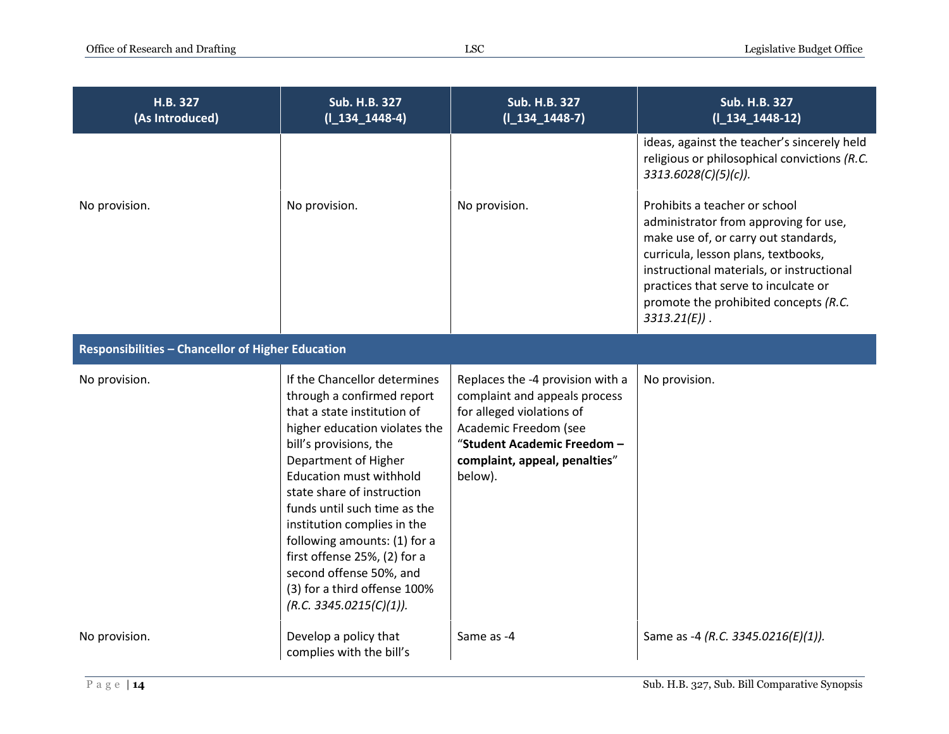| H.B. 327<br>(As Introduced)                       | Sub. H.B. 327<br>$(I_134_1448-4)$                                                                                                                                                                                                                                                                                                                                                                                                                                 | Sub. H.B. 327<br>$(I_134_1448-7)$                                                                                                                                                                  | <b>Sub. H.B. 327</b><br>$(I_134_1448-12)$                                                                                                                                                                                                                                                             |
|---------------------------------------------------|-------------------------------------------------------------------------------------------------------------------------------------------------------------------------------------------------------------------------------------------------------------------------------------------------------------------------------------------------------------------------------------------------------------------------------------------------------------------|----------------------------------------------------------------------------------------------------------------------------------------------------------------------------------------------------|-------------------------------------------------------------------------------------------------------------------------------------------------------------------------------------------------------------------------------------------------------------------------------------------------------|
|                                                   |                                                                                                                                                                                                                                                                                                                                                                                                                                                                   |                                                                                                                                                                                                    | ideas, against the teacher's sincerely held<br>religious or philosophical convictions (R.C.<br>3313.6028(C)(5)(c)).                                                                                                                                                                                   |
| No provision.                                     | No provision.                                                                                                                                                                                                                                                                                                                                                                                                                                                     | No provision.                                                                                                                                                                                      | Prohibits a teacher or school<br>administrator from approving for use,<br>make use of, or carry out standards,<br>curricula, lesson plans, textbooks,<br>instructional materials, or instructional<br>practices that serve to inculcate or<br>promote the prohibited concepts (R.C.<br>$3313.21(E)$ . |
| Responsibilities - Chancellor of Higher Education |                                                                                                                                                                                                                                                                                                                                                                                                                                                                   |                                                                                                                                                                                                    |                                                                                                                                                                                                                                                                                                       |
| No provision.                                     | If the Chancellor determines<br>through a confirmed report<br>that a state institution of<br>higher education violates the<br>bill's provisions, the<br>Department of Higher<br><b>Education must withhold</b><br>state share of instruction<br>funds until such time as the<br>institution complies in the<br>following amounts: (1) for a<br>first offense 25%, (2) for a<br>second offense 50%, and<br>(3) for a third offense 100%<br>(R.C. 3345.0215(C)(1)). | Replaces the -4 provision with a<br>complaint and appeals process<br>for alleged violations of<br>Academic Freedom (see<br>"Student Academic Freedom -<br>complaint, appeal, penalties"<br>below). | No provision.                                                                                                                                                                                                                                                                                         |
| No provision.                                     | Develop a policy that<br>complies with the bill's                                                                                                                                                                                                                                                                                                                                                                                                                 | Same as -4                                                                                                                                                                                         | Same as -4 (R.C. 3345.0216(E)(1)).                                                                                                                                                                                                                                                                    |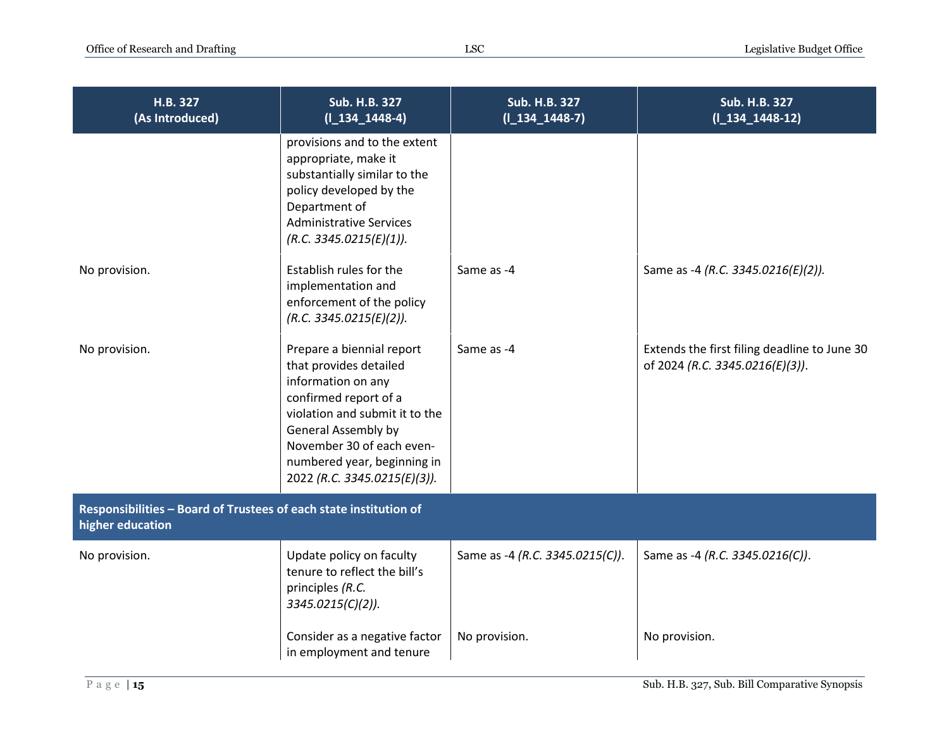| H.B. 327<br>(As Introduced)                                                           | <b>Sub. H.B. 327</b><br>$(I_134_1448-4)$                                                                                                                                                                                                                       | <b>Sub. H.B. 327</b><br>$(I_134_1448-7)$ | <b>Sub. H.B. 327</b><br>$(I_134_1448-12)$                                       |
|---------------------------------------------------------------------------------------|----------------------------------------------------------------------------------------------------------------------------------------------------------------------------------------------------------------------------------------------------------------|------------------------------------------|---------------------------------------------------------------------------------|
|                                                                                       | provisions and to the extent<br>appropriate, make it<br>substantially similar to the<br>policy developed by the<br>Department of<br><b>Administrative Services</b><br>(R.C. 3345.0215(E)(1)).                                                                  |                                          |                                                                                 |
| No provision.                                                                         | Establish rules for the<br>implementation and<br>enforcement of the policy<br>(R.C. 3345.0215(E)(2)).                                                                                                                                                          | Same as -4                               | Same as -4 (R.C. 3345.0216(E)(2)).                                              |
| No provision.                                                                         | Prepare a biennial report<br>that provides detailed<br>information on any<br>confirmed report of a<br>violation and submit it to the<br><b>General Assembly by</b><br>November 30 of each even-<br>numbered year, beginning in<br>2022 (R.C. 3345.0215(E)(3)). | Same as -4                               | Extends the first filing deadline to June 30<br>of 2024 (R.C. 3345.0216(E)(3)). |
| Responsibilities - Board of Trustees of each state institution of<br>higher education |                                                                                                                                                                                                                                                                |                                          |                                                                                 |
| No provision.                                                                         | Update policy on faculty<br>tenure to reflect the bill's<br>principles (R.C.<br>$3345.0215(C)(2)$ ).                                                                                                                                                           | Same as -4 (R.C. 3345.0215(C)).          | Same as -4 (R.C. 3345.0216(C)).                                                 |
|                                                                                       | Consider as a negative factor<br>in employment and tenure                                                                                                                                                                                                      | No provision.                            | No provision.                                                                   |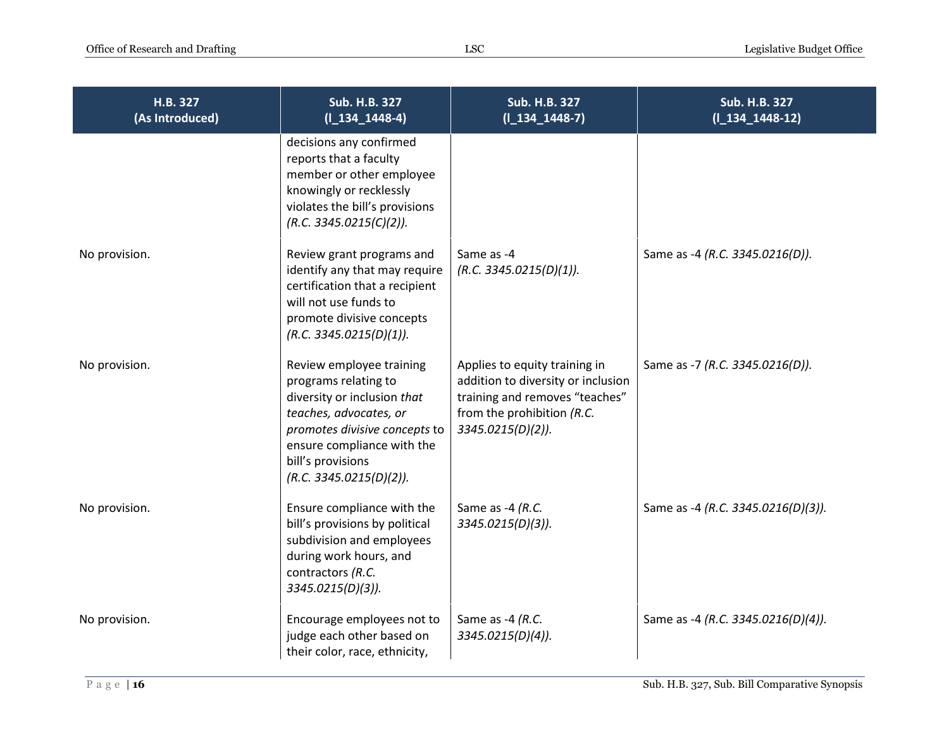| H.B. 327<br>(As Introduced) | <b>Sub. H.B. 327</b><br>$(I_134_1448-4)$                                                                                                                                                                                 | Sub. H.B. 327<br>$(I_134_1448-7)$                                                                                                                        | <b>Sub. H.B. 327</b><br>$(I_134_1448-12)$ |
|-----------------------------|--------------------------------------------------------------------------------------------------------------------------------------------------------------------------------------------------------------------------|----------------------------------------------------------------------------------------------------------------------------------------------------------|-------------------------------------------|
|                             | decisions any confirmed<br>reports that a faculty<br>member or other employee<br>knowingly or recklessly<br>violates the bill's provisions<br>(R.C. 3345.0215(C)(2)).                                                    |                                                                                                                                                          |                                           |
| No provision.               | Review grant programs and<br>identify any that may require<br>certification that a recipient<br>will not use funds to<br>promote divisive concepts<br>(R.C. 3345.0215(D)(1)).                                            | Same as -4<br>(R.C. 3345.0215(D)(1)).                                                                                                                    | Same as -4 (R.C. 3345.0216(D)).           |
| No provision.               | Review employee training<br>programs relating to<br>diversity or inclusion that<br>teaches, advocates, or<br>promotes divisive concepts to<br>ensure compliance with the<br>bill's provisions<br>(R.C. 3345.0215(D)(2)). | Applies to equity training in<br>addition to diversity or inclusion<br>training and removes "teaches"<br>from the prohibition (R.C.<br>3345.0215(D)(2)). | Same as -7 (R.C. 3345.0216(D)).           |
| No provision.               | Ensure compliance with the<br>bill's provisions by political<br>subdivision and employees<br>during work hours, and<br>contractors (R.C.<br>3345.0215(D)(3)).                                                            | Same as -4 (R.C.<br>3345.0215(D)(3)).                                                                                                                    | Same as -4 (R.C. 3345.0216(D)(3)).        |
| No provision.               | Encourage employees not to<br>judge each other based on<br>their color, race, ethnicity,                                                                                                                                 | Same as -4 (R.C.<br>3345.0215(D)(4)).                                                                                                                    | Same as -4 (R.C. 3345.0216(D)(4)).        |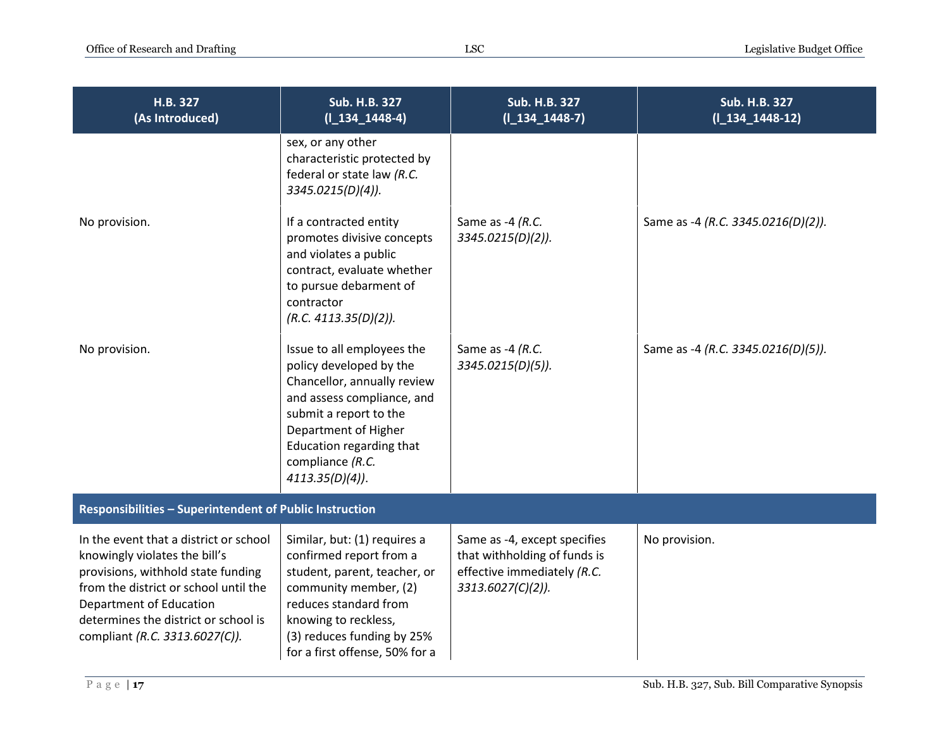| H.B. 327<br>(As Introduced)                                                                                                                                                                                                                                 | <b>Sub. H.B. 327</b><br>$(I_134_1448-4)$                                                                                                                                                                                                   | Sub. H.B. 327<br>$(I_134_1448-7)$                                                                                | <b>Sub. H.B. 327</b><br>$(I_134_1448-12)$ |  |
|-------------------------------------------------------------------------------------------------------------------------------------------------------------------------------------------------------------------------------------------------------------|--------------------------------------------------------------------------------------------------------------------------------------------------------------------------------------------------------------------------------------------|------------------------------------------------------------------------------------------------------------------|-------------------------------------------|--|
|                                                                                                                                                                                                                                                             | sex, or any other<br>characteristic protected by<br>federal or state law (R.C.<br>3345.0215(D)(4)).                                                                                                                                        |                                                                                                                  |                                           |  |
| No provision.                                                                                                                                                                                                                                               | If a contracted entity<br>promotes divisive concepts<br>and violates a public<br>contract, evaluate whether<br>to pursue debarment of<br>contractor<br>(R.C. 4113.35(D)(2)).                                                               | Same as -4 (R.C.<br>3345.0215(D)(2)).                                                                            | Same as -4 (R.C. 3345.0216(D)(2)).        |  |
| No provision.                                                                                                                                                                                                                                               | Issue to all employees the<br>policy developed by the<br>Chancellor, annually review<br>and assess compliance, and<br>submit a report to the<br>Department of Higher<br>Education regarding that<br>compliance (R.C.<br>$4113.35(D)(4)$ ). | Same as -4 (R.C.<br>3345.0215(D)(5)).                                                                            | Same as -4 (R.C. 3345.0216(D)(5)).        |  |
| Responsibilities - Superintendent of Public Instruction                                                                                                                                                                                                     |                                                                                                                                                                                                                                            |                                                                                                                  |                                           |  |
| In the event that a district or school<br>knowingly violates the bill's<br>provisions, withhold state funding<br>from the district or school until the<br>Department of Education<br>determines the district or school is<br>compliant (R.C. 3313.6027(C)). | Similar, but: (1) requires a<br>confirmed report from a<br>student, parent, teacher, or<br>community member, (2)<br>reduces standard from<br>knowing to reckless,<br>(3) reduces funding by 25%<br>for a first offense, 50% for a          | Same as -4, except specifies<br>that withholding of funds is<br>effective immediately (R.C.<br>3313.6027(C)(2)). | No provision.                             |  |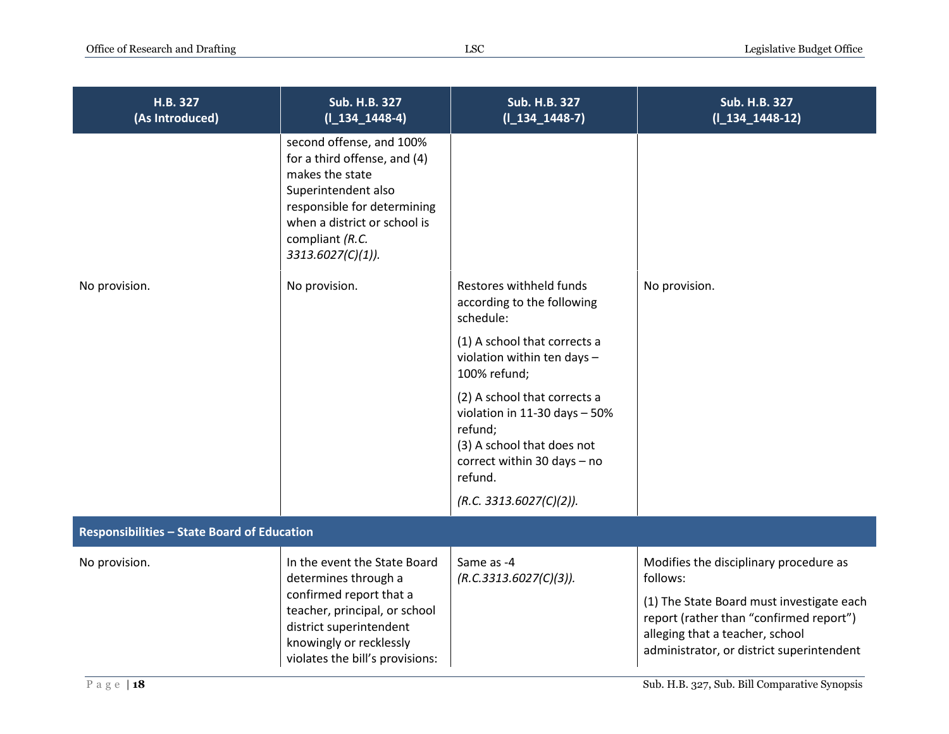| H.B. 327<br>(As Introduced)                        | Sub. H.B. 327<br>$(I_134_1448-4)$                                                                                                                                                                            | <b>Sub. H.B. 327</b><br>$(I_134_1448-7)$                                                                                                           | Sub. H.B. 327<br>$(I_134_1448-12)$                                                                                                                                   |
|----------------------------------------------------|--------------------------------------------------------------------------------------------------------------------------------------------------------------------------------------------------------------|----------------------------------------------------------------------------------------------------------------------------------------------------|----------------------------------------------------------------------------------------------------------------------------------------------------------------------|
|                                                    | second offense, and 100%<br>for a third offense, and (4)<br>makes the state<br>Superintendent also<br>responsible for determining<br>when a district or school is<br>compliant (R.C.<br>$3313.6027(C)(1)$ ). |                                                                                                                                                    |                                                                                                                                                                      |
| No provision.                                      | No provision.                                                                                                                                                                                                | Restores withheld funds<br>according to the following<br>schedule:                                                                                 | No provision.                                                                                                                                                        |
|                                                    |                                                                                                                                                                                                              | (1) A school that corrects a<br>violation within ten days -<br>100% refund;                                                                        |                                                                                                                                                                      |
|                                                    |                                                                                                                                                                                                              | (2) A school that corrects a<br>violation in 11-30 days $-50\%$<br>refund;<br>(3) A school that does not<br>correct within 30 days - no<br>refund. |                                                                                                                                                                      |
|                                                    |                                                                                                                                                                                                              | (R.C. 3313.6027(C)(2)).                                                                                                                            |                                                                                                                                                                      |
| <b>Responsibilities - State Board of Education</b> |                                                                                                                                                                                                              |                                                                                                                                                    |                                                                                                                                                                      |
| No provision.                                      | In the event the State Board<br>determines through a                                                                                                                                                         | Same as -4<br>(R.C.3313.6027(C)(3)).                                                                                                               | Modifies the disciplinary procedure as<br>follows:                                                                                                                   |
|                                                    | confirmed report that a<br>teacher, principal, or school<br>district superintendent<br>knowingly or recklessly<br>violates the bill's provisions:                                                            |                                                                                                                                                    | (1) The State Board must investigate each<br>report (rather than "confirmed report")<br>alleging that a teacher, school<br>administrator, or district superintendent |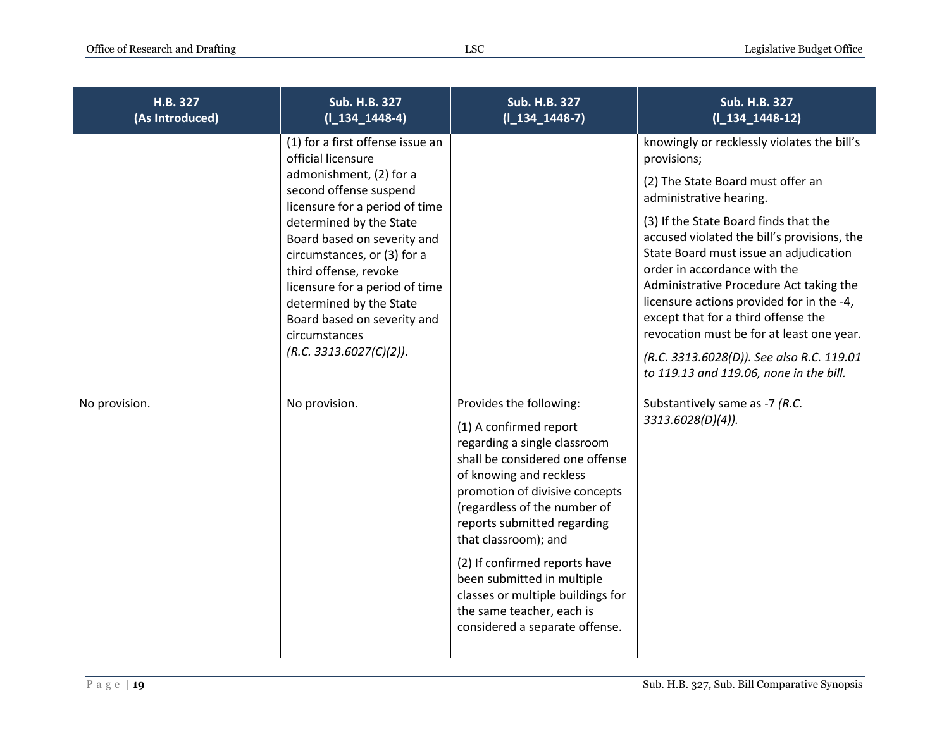| H.B. 327<br>(As Introduced) | <b>Sub. H.B. 327</b><br>$(1_134_1448-4)$                                                                                                                                                                                                                                                                                                                                                                | <b>Sub. H.B. 327</b><br>$(I_134_1448-7)$                                                                                                                                                                                                                                                                                                                                                                                                    | Sub. H.B. 327<br>$(I_134_1448-12)$                                                                                                                                                                                                                                                                                                                                                                                                                                                                                                                               |
|-----------------------------|---------------------------------------------------------------------------------------------------------------------------------------------------------------------------------------------------------------------------------------------------------------------------------------------------------------------------------------------------------------------------------------------------------|---------------------------------------------------------------------------------------------------------------------------------------------------------------------------------------------------------------------------------------------------------------------------------------------------------------------------------------------------------------------------------------------------------------------------------------------|------------------------------------------------------------------------------------------------------------------------------------------------------------------------------------------------------------------------------------------------------------------------------------------------------------------------------------------------------------------------------------------------------------------------------------------------------------------------------------------------------------------------------------------------------------------|
|                             | (1) for a first offense issue an<br>official licensure<br>admonishment, (2) for a<br>second offense suspend<br>licensure for a period of time<br>determined by the State<br>Board based on severity and<br>circumstances, or (3) for a<br>third offense, revoke<br>licensure for a period of time<br>determined by the State<br>Board based on severity and<br>circumstances<br>(R.C. 3313.6027(C)(2)). |                                                                                                                                                                                                                                                                                                                                                                                                                                             | knowingly or recklessly violates the bill's<br>provisions;<br>(2) The State Board must offer an<br>administrative hearing.<br>(3) If the State Board finds that the<br>accused violated the bill's provisions, the<br>State Board must issue an adjudication<br>order in accordance with the<br>Administrative Procedure Act taking the<br>licensure actions provided for in the -4,<br>except that for a third offense the<br>revocation must be for at least one year.<br>(R.C. 3313.6028(D)). See also R.C. 119.01<br>to 119.13 and 119.06, none in the bill. |
| No provision.               | No provision.                                                                                                                                                                                                                                                                                                                                                                                           | Provides the following:<br>(1) A confirmed report<br>regarding a single classroom<br>shall be considered one offense<br>of knowing and reckless<br>promotion of divisive concepts<br>(regardless of the number of<br>reports submitted regarding<br>that classroom); and<br>(2) If confirmed reports have<br>been submitted in multiple<br>classes or multiple buildings for<br>the same teacher, each is<br>considered a separate offense. | Substantively same as -7 (R.C.<br>3313.6028(D)(4)).                                                                                                                                                                                                                                                                                                                                                                                                                                                                                                              |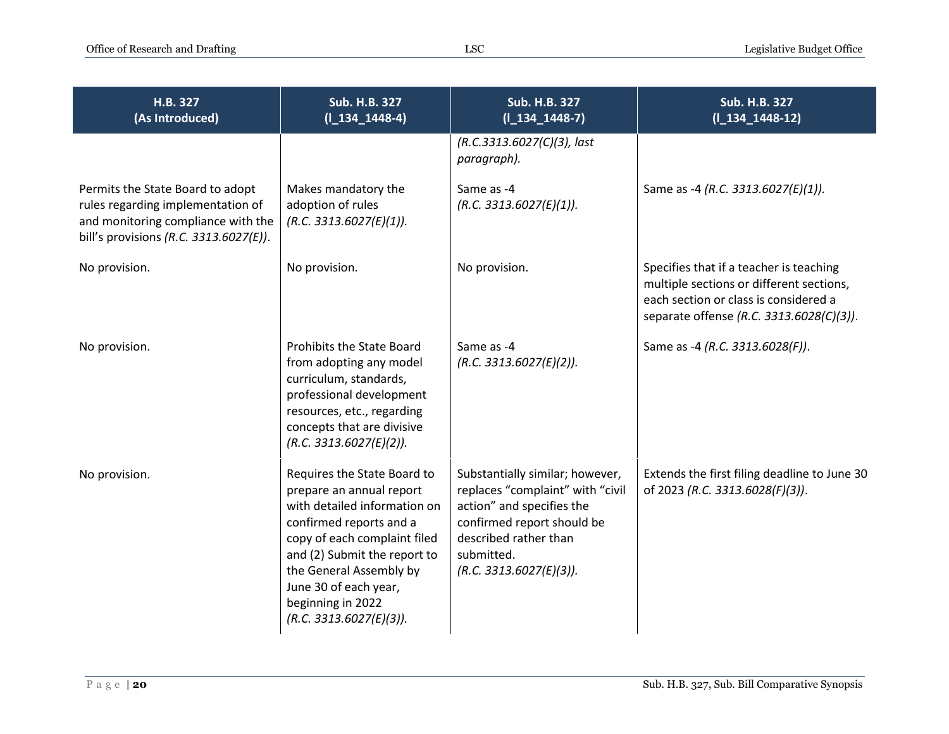| H.B. 327<br>(As Introduced)                                                                                                                           | Sub. H.B. 327<br>$(I_134_1448-4)$                                                                                                                                                                                                                                                      | <b>Sub. H.B. 327</b><br>$(I_134_1448-7)$                                                                                                                                                         | <b>Sub. H.B. 327</b><br>$(I_134_1448-12)$                                                                                                                                |
|-------------------------------------------------------------------------------------------------------------------------------------------------------|----------------------------------------------------------------------------------------------------------------------------------------------------------------------------------------------------------------------------------------------------------------------------------------|--------------------------------------------------------------------------------------------------------------------------------------------------------------------------------------------------|--------------------------------------------------------------------------------------------------------------------------------------------------------------------------|
|                                                                                                                                                       |                                                                                                                                                                                                                                                                                        | (R.C.3313.6027(C)(3), last<br>paragraph).                                                                                                                                                        |                                                                                                                                                                          |
| Permits the State Board to adopt<br>rules regarding implementation of<br>and monitoring compliance with the<br>bill's provisions (R.C. 3313.6027(E)). | Makes mandatory the<br>adoption of rules<br>(R.C. 3313.6027(E)(1)).                                                                                                                                                                                                                    | Same as -4<br>(R.C. 3313.6027(E)(1)).                                                                                                                                                            | Same as -4 (R.C. 3313.6027(E)(1)).                                                                                                                                       |
| No provision.                                                                                                                                         | No provision.                                                                                                                                                                                                                                                                          | No provision.                                                                                                                                                                                    | Specifies that if a teacher is teaching<br>multiple sections or different sections,<br>each section or class is considered a<br>separate offense (R.C. 3313.6028(C)(3)). |
| No provision.                                                                                                                                         | Prohibits the State Board<br>from adopting any model<br>curriculum, standards,<br>professional development<br>resources, etc., regarding<br>concepts that are divisive<br>(R.C. 3313.6027(E)(2)).                                                                                      | Same as -4<br>(R.C. 3313.6027(E)(2)).                                                                                                                                                            | Same as -4 (R.C. 3313.6028(F)).                                                                                                                                          |
| No provision.                                                                                                                                         | Requires the State Board to<br>prepare an annual report<br>with detailed information on<br>confirmed reports and a<br>copy of each complaint filed<br>and (2) Submit the report to<br>the General Assembly by<br>June 30 of each year,<br>beginning in 2022<br>(R.C. 3313.6027(E)(3)). | Substantially similar; however,<br>replaces "complaint" with "civil<br>action" and specifies the<br>confirmed report should be<br>described rather than<br>submitted.<br>(R.C. 3313.6027(E)(3)). | Extends the first filing deadline to June 30<br>of 2023 (R.C. 3313.6028(F)(3)).                                                                                          |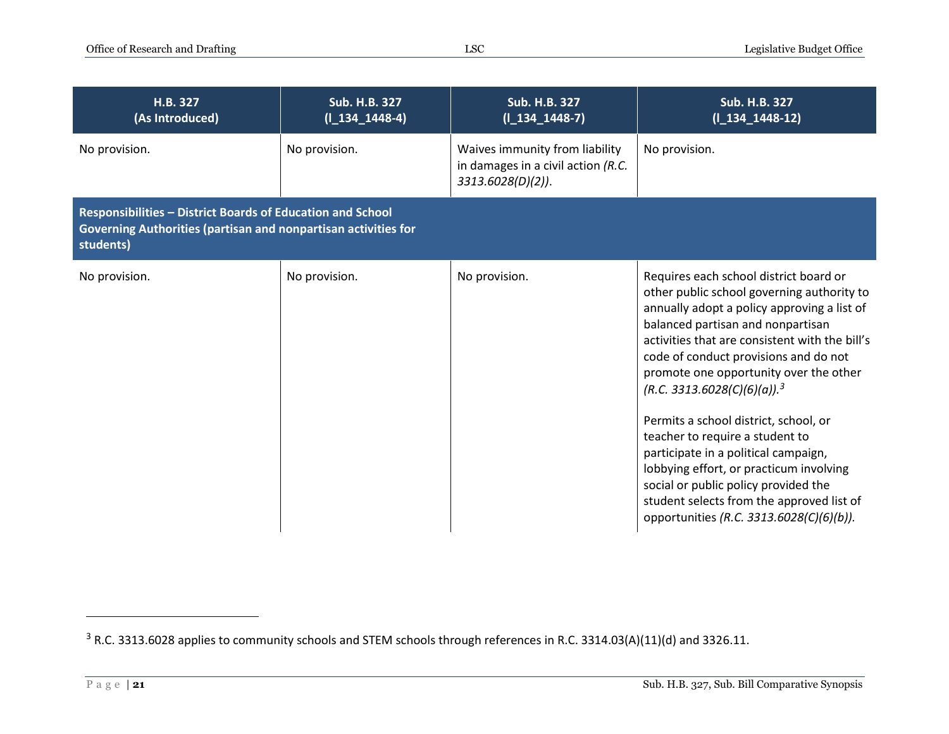| H.B. 327<br>(As Introduced)                                                                                                               | <b>Sub. H.B. 327</b><br>$(I_134_1448-4)$ | <b>Sub. H.B. 327</b><br>$(I_134_1448-7)$                                                     | <b>Sub. H.B. 327</b><br>$(I_134_1448-12)$                                                                                                                                                                                                                                                                                                                                                                                                                                                                                                                                                                                                                   |
|-------------------------------------------------------------------------------------------------------------------------------------------|------------------------------------------|----------------------------------------------------------------------------------------------|-------------------------------------------------------------------------------------------------------------------------------------------------------------------------------------------------------------------------------------------------------------------------------------------------------------------------------------------------------------------------------------------------------------------------------------------------------------------------------------------------------------------------------------------------------------------------------------------------------------------------------------------------------------|
| No provision.                                                                                                                             | No provision.                            | Waives immunity from liability<br>in damages in a civil action (R.C.<br>$3313.6028(D)(2)$ ). | No provision.                                                                                                                                                                                                                                                                                                                                                                                                                                                                                                                                                                                                                                               |
| Responsibilities - District Boards of Education and School<br>Governing Authorities (partisan and nonpartisan activities for<br>students) |                                          |                                                                                              |                                                                                                                                                                                                                                                                                                                                                                                                                                                                                                                                                                                                                                                             |
| No provision.                                                                                                                             | No provision.                            | No provision.                                                                                | Requires each school district board or<br>other public school governing authority to<br>annually adopt a policy approving a list of<br>balanced partisan and nonpartisan<br>activities that are consistent with the bill's<br>code of conduct provisions and do not<br>promote one opportunity over the other<br>$(R.C. 3313.6028(C)(6)(a))$ . <sup>3</sup><br>Permits a school district, school, or<br>teacher to require a student to<br>participate in a political campaign,<br>lobbying effort, or practicum involving<br>social or public policy provided the<br>student selects from the approved list of<br>opportunities (R.C. 3313.6028(C)(6)(b)). |

<sup>&</sup>lt;sup>3</sup> R.C. 3313.6028 applies to community schools and STEM schools through references in R.C. 3314.03(A)(11)(d) and 3326.11.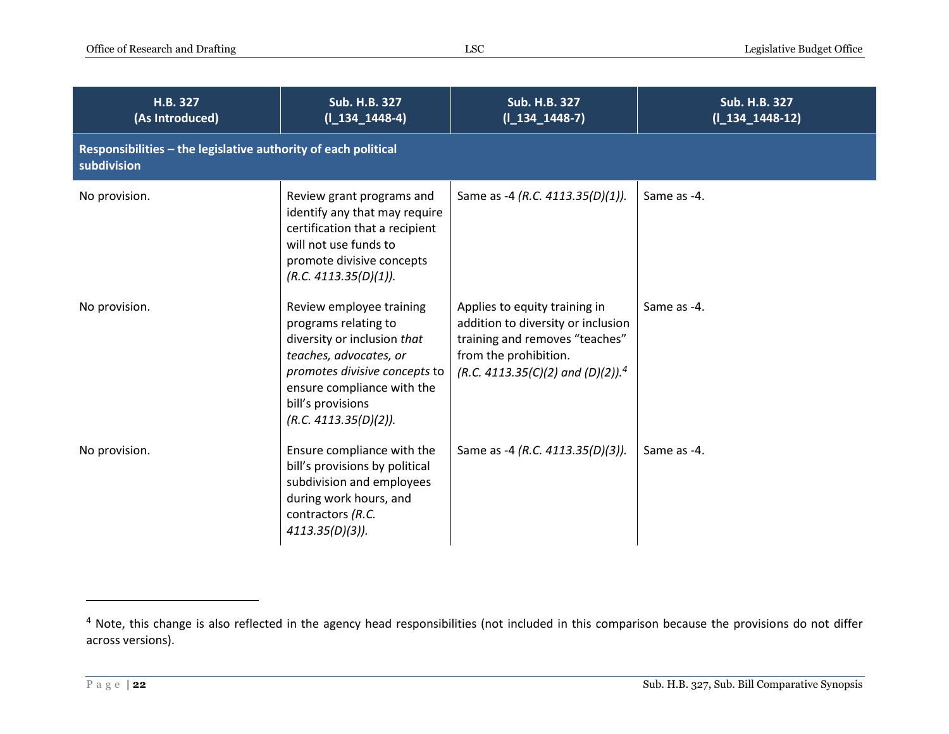| H.B. 327<br>(As Introduced)                                                   | <b>Sub. H.B. 327</b><br>$(I_134_1448-4)$                                                                                                                                                                               | Sub. H.B. 327<br>$(I_134_1448-7)$                                                                                                                                               | Sub. H.B. 327<br>$(1_134_1448-12)$ |
|-------------------------------------------------------------------------------|------------------------------------------------------------------------------------------------------------------------------------------------------------------------------------------------------------------------|---------------------------------------------------------------------------------------------------------------------------------------------------------------------------------|------------------------------------|
| Responsibilities - the legislative authority of each political<br>subdivision |                                                                                                                                                                                                                        |                                                                                                                                                                                 |                                    |
| No provision.                                                                 | Review grant programs and<br>identify any that may require<br>certification that a recipient<br>will not use funds to<br>promote divisive concepts<br>(R.C. 4113.35(D)(1)).                                            | Same as -4 (R.C. 4113.35(D)(1)).                                                                                                                                                | Same as -4.                        |
| No provision.                                                                 | Review employee training<br>programs relating to<br>diversity or inclusion that<br>teaches, advocates, or<br>promotes divisive concepts to<br>ensure compliance with the<br>bill's provisions<br>(R.C. 4113.35(D)(2)). | Applies to equity training in<br>addition to diversity or inclusion<br>training and removes "teaches"<br>from the prohibition.<br>(R.C. 4113.35(C)(2) and (D)(2)). <sup>4</sup> | Same as -4.                        |
| No provision.                                                                 | Ensure compliance with the<br>bill's provisions by political<br>subdivision and employees<br>during work hours, and<br>contractors (R.C.<br>$4113.35(D)(3)$ ).                                                         | Same as -4 (R.C. 4113.35(D)(3)).                                                                                                                                                | Same as -4.                        |

<sup>&</sup>lt;sup>4</sup> Note, this change is also reflected in the agency head responsibilities (not included in this comparison because the provisions do not differ across versions).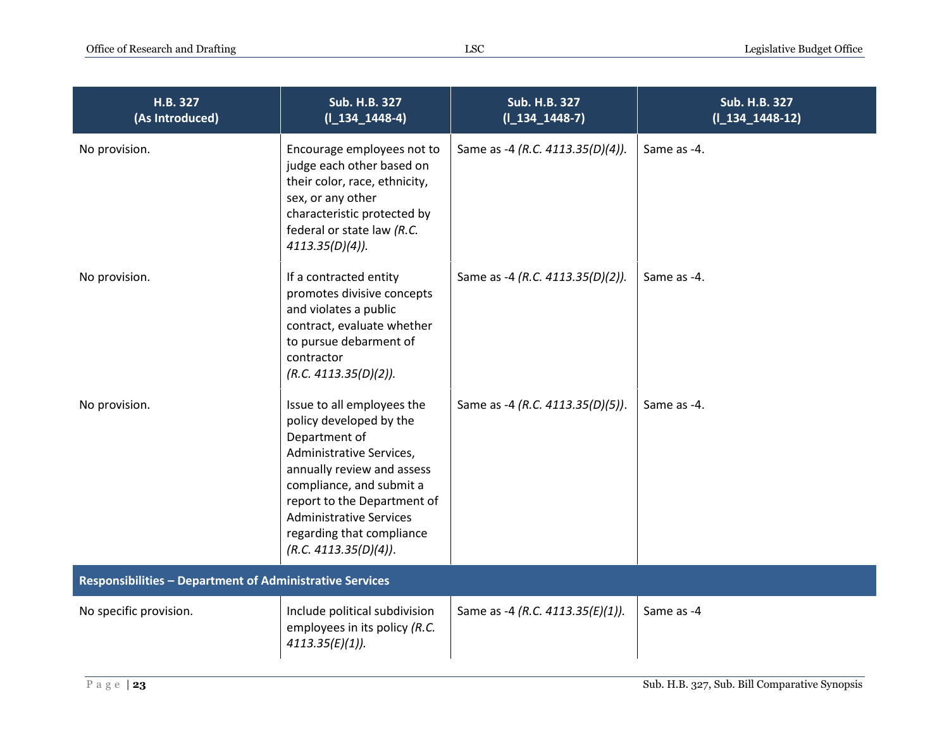| H.B. 327<br>(As Introduced)                                     | <b>Sub. H.B. 327</b><br>$(I_134_1448-4)$                                                                                                                                                                                                                                            | Sub. H.B. 327<br>$(I_134_1448-7)$ | Sub. H.B. 327<br>$(I_134_1448-12)$ |
|-----------------------------------------------------------------|-------------------------------------------------------------------------------------------------------------------------------------------------------------------------------------------------------------------------------------------------------------------------------------|-----------------------------------|------------------------------------|
| No provision.                                                   | Encourage employees not to<br>judge each other based on<br>their color, race, ethnicity,<br>sex, or any other<br>characteristic protected by<br>federal or state law (R.C.<br>$4113.35(D)(4)$ ).                                                                                    | Same as -4 (R.C. 4113.35(D)(4)).  | Same as -4.                        |
| No provision.                                                   | If a contracted entity<br>promotes divisive concepts<br>and violates a public<br>contract, evaluate whether<br>to pursue debarment of<br>contractor<br>(R.C. 4113.35(D)(2)).                                                                                                        | Same as -4 (R.C. 4113.35(D)(2)).  | Same as -4.                        |
| No provision.                                                   | Issue to all employees the<br>policy developed by the<br>Department of<br>Administrative Services,<br>annually review and assess<br>compliance, and submit a<br>report to the Department of<br><b>Administrative Services</b><br>regarding that compliance<br>(R.C. 4113.35(D)(4)). | Same as -4 (R.C. 4113.35(D)(5)).  | Same as -4.                        |
| <b>Responsibilities - Department of Administrative Services</b> |                                                                                                                                                                                                                                                                                     |                                   |                                    |
| No specific provision.                                          | Include political subdivision<br>employees in its policy (R.C.<br>$4113.35(E)(1)$ ).                                                                                                                                                                                                | Same as -4 (R.C. 4113.35(E)(1)).  | Same as -4                         |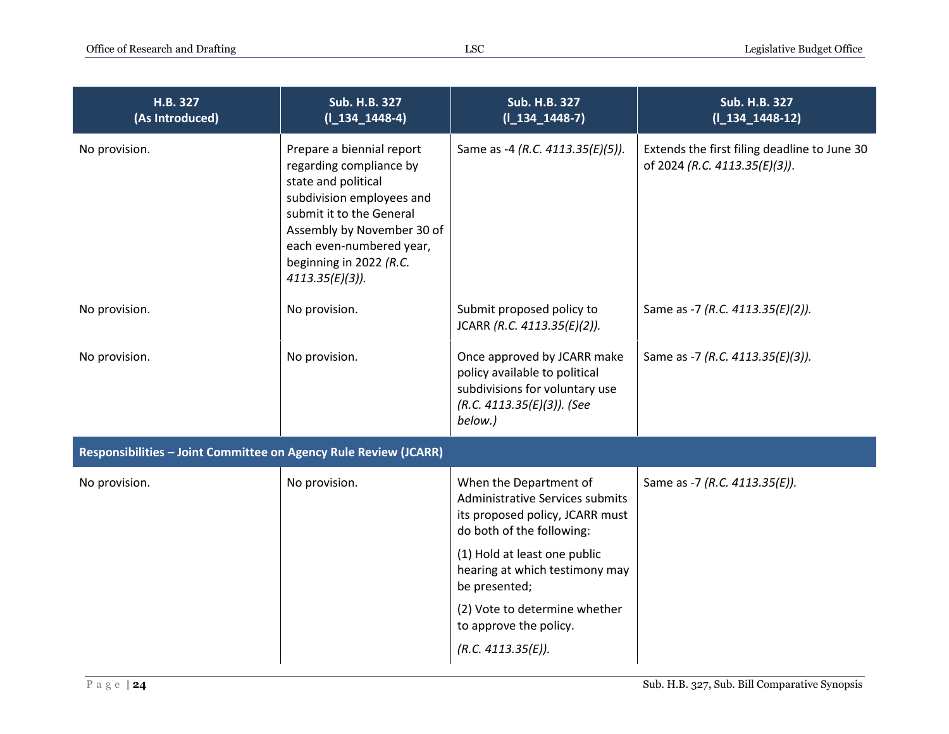| H.B. 327<br>(As Introduced)                                      | <b>Sub. H.B. 327</b><br>$(I_134_1448-4)$                                                                                                                                                                                                        | <b>Sub. H.B. 327</b><br>$(I_134_1448-7)$                                                                                                                                                    | <b>Sub. H.B. 327</b><br>$(11341448-12)$                                       |
|------------------------------------------------------------------|-------------------------------------------------------------------------------------------------------------------------------------------------------------------------------------------------------------------------------------------------|---------------------------------------------------------------------------------------------------------------------------------------------------------------------------------------------|-------------------------------------------------------------------------------|
| No provision.                                                    | Prepare a biennial report<br>regarding compliance by<br>state and political<br>subdivision employees and<br>submit it to the General<br>Assembly by November 30 of<br>each even-numbered year,<br>beginning in 2022 (R.C.<br>$4113.35(E)(3)$ ). | Same as -4 (R.C. 4113.35(E)(5)).                                                                                                                                                            | Extends the first filing deadline to June 30<br>of 2024 (R.C. 4113.35(E)(3)). |
| No provision.                                                    | No provision.                                                                                                                                                                                                                                   | Submit proposed policy to<br>JCARR (R.C. 4113.35(E)(2)).                                                                                                                                    | Same as -7 (R.C. 4113.35(E)(2)).                                              |
| No provision.                                                    | No provision.                                                                                                                                                                                                                                   | Once approved by JCARR make<br>policy available to political<br>subdivisions for voluntary use<br>(R.C. 4113.35(E)(3)). (See<br>below.)                                                     | Same as -7 (R.C. 4113.35(E)(3)).                                              |
| Responsibilities - Joint Committee on Agency Rule Review (JCARR) |                                                                                                                                                                                                                                                 |                                                                                                                                                                                             |                                                                               |
| No provision.                                                    | No provision.                                                                                                                                                                                                                                   | When the Department of<br>Administrative Services submits<br>its proposed policy, JCARR must<br>do both of the following:<br>(1) Hold at least one public<br>hearing at which testimony may | Same as -7 (R.C. 4113.35(E)).                                                 |
|                                                                  |                                                                                                                                                                                                                                                 | be presented;                                                                                                                                                                               |                                                                               |
|                                                                  |                                                                                                                                                                                                                                                 | (2) Vote to determine whether<br>to approve the policy.                                                                                                                                     |                                                                               |
|                                                                  |                                                                                                                                                                                                                                                 | (R.C. 4113.35(E)).                                                                                                                                                                          |                                                                               |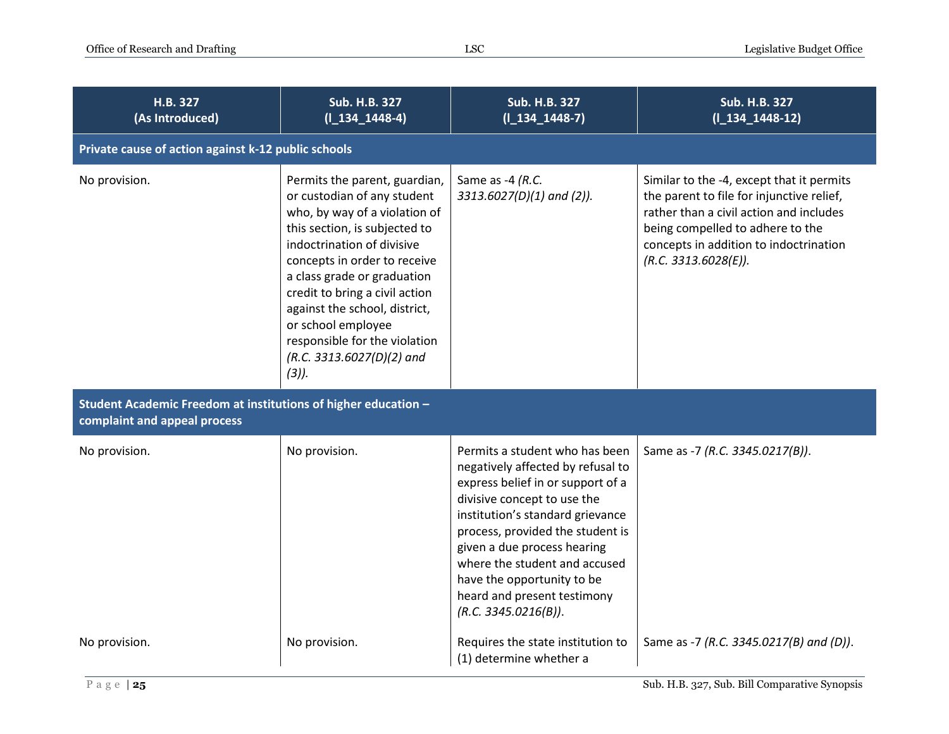| H.B. 327<br>(As Introduced)                                                                    | <b>Sub. H.B. 327</b><br>$(I_134_1448-4)$                                                                                                                                                                                                                                                                                                                                                       | <b>Sub. H.B. 327</b><br>$(I_134_1448-7)$                                                                                                                                                                                                                                                                                                                             | <b>Sub. H.B. 327</b><br>$(1_134_1448-12)$                                                                                                                                                                                               |  |
|------------------------------------------------------------------------------------------------|------------------------------------------------------------------------------------------------------------------------------------------------------------------------------------------------------------------------------------------------------------------------------------------------------------------------------------------------------------------------------------------------|----------------------------------------------------------------------------------------------------------------------------------------------------------------------------------------------------------------------------------------------------------------------------------------------------------------------------------------------------------------------|-----------------------------------------------------------------------------------------------------------------------------------------------------------------------------------------------------------------------------------------|--|
|                                                                                                | Private cause of action against k-12 public schools                                                                                                                                                                                                                                                                                                                                            |                                                                                                                                                                                                                                                                                                                                                                      |                                                                                                                                                                                                                                         |  |
| No provision.                                                                                  | Permits the parent, guardian,<br>or custodian of any student<br>who, by way of a violation of<br>this section, is subjected to<br>indoctrination of divisive<br>concepts in order to receive<br>a class grade or graduation<br>credit to bring a civil action<br>against the school, district,<br>or school employee<br>responsible for the violation<br>(R.C. 3313.6027(D)(2) and<br>$(3)$ ). | Same as -4 (R.C.<br>3313.6027(D)(1) and (2)).                                                                                                                                                                                                                                                                                                                        | Similar to the -4, except that it permits<br>the parent to file for injunctive relief,<br>rather than a civil action and includes<br>being compelled to adhere to the<br>concepts in addition to indoctrination<br>(R.C. 3313.6028(E)). |  |
| Student Academic Freedom at institutions of higher education -<br>complaint and appeal process |                                                                                                                                                                                                                                                                                                                                                                                                |                                                                                                                                                                                                                                                                                                                                                                      |                                                                                                                                                                                                                                         |  |
| No provision.                                                                                  | No provision.                                                                                                                                                                                                                                                                                                                                                                                  | Permits a student who has been<br>negatively affected by refusal to<br>express belief in or support of a<br>divisive concept to use the<br>institution's standard grievance<br>process, provided the student is<br>given a due process hearing<br>where the student and accused<br>have the opportunity to be<br>heard and present testimony<br>(R.C. 3345.0216(B)). | Same as -7 (R.C. 3345.0217(B)).                                                                                                                                                                                                         |  |
| No provision.                                                                                  | No provision.                                                                                                                                                                                                                                                                                                                                                                                  | Requires the state institution to<br>(1) determine whether a                                                                                                                                                                                                                                                                                                         | Same as -7 (R.C. 3345.0217(B) and (D)).                                                                                                                                                                                                 |  |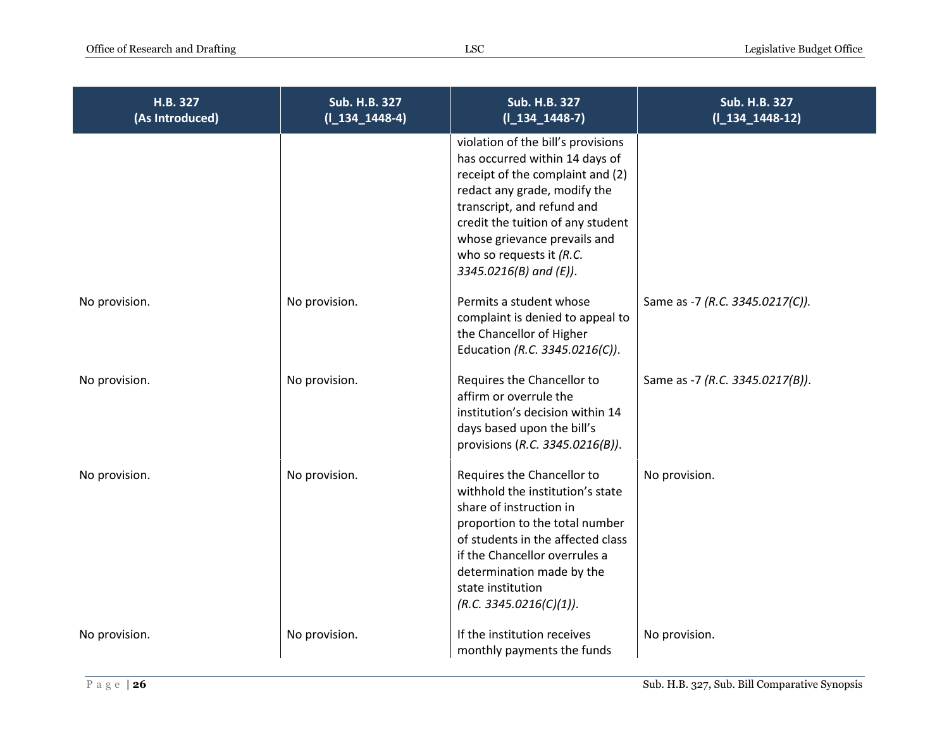| H.B. 327<br>(As Introduced) | Sub. H.B. 327<br>$(I_134_1448-4)$ | <b>Sub. H.B. 327</b><br>$(I_134_1448-7)$                                                                                                                                                                                                                                                              | <b>Sub. H.B. 327</b><br>$(I_134_1448-12)$ |
|-----------------------------|-----------------------------------|-------------------------------------------------------------------------------------------------------------------------------------------------------------------------------------------------------------------------------------------------------------------------------------------------------|-------------------------------------------|
|                             |                                   | violation of the bill's provisions<br>has occurred within 14 days of<br>receipt of the complaint and (2)<br>redact any grade, modify the<br>transcript, and refund and<br>credit the tuition of any student<br>whose grievance prevails and<br>who so requests it $(R.C.$<br>$3345.0216(B)$ and (E)). |                                           |
| No provision.               | No provision.                     | Permits a student whose<br>complaint is denied to appeal to<br>the Chancellor of Higher<br>Education (R.C. 3345.0216(C)).                                                                                                                                                                             | Same as -7 (R.C. 3345.0217(C)).           |
| No provision.               | No provision.                     | Requires the Chancellor to<br>affirm or overrule the<br>institution's decision within 14<br>days based upon the bill's<br>provisions (R.C. 3345.0216(B)).                                                                                                                                             | Same as -7 (R.C. 3345.0217(B)).           |
| No provision.               | No provision.                     | Requires the Chancellor to<br>withhold the institution's state<br>share of instruction in<br>proportion to the total number<br>of students in the affected class<br>if the Chancellor overrules a<br>determination made by the<br>state institution<br>(R.C. 3345.0216(C)(1)).                        | No provision.                             |
| No provision.               | No provision.                     | If the institution receives<br>monthly payments the funds                                                                                                                                                                                                                                             | No provision.                             |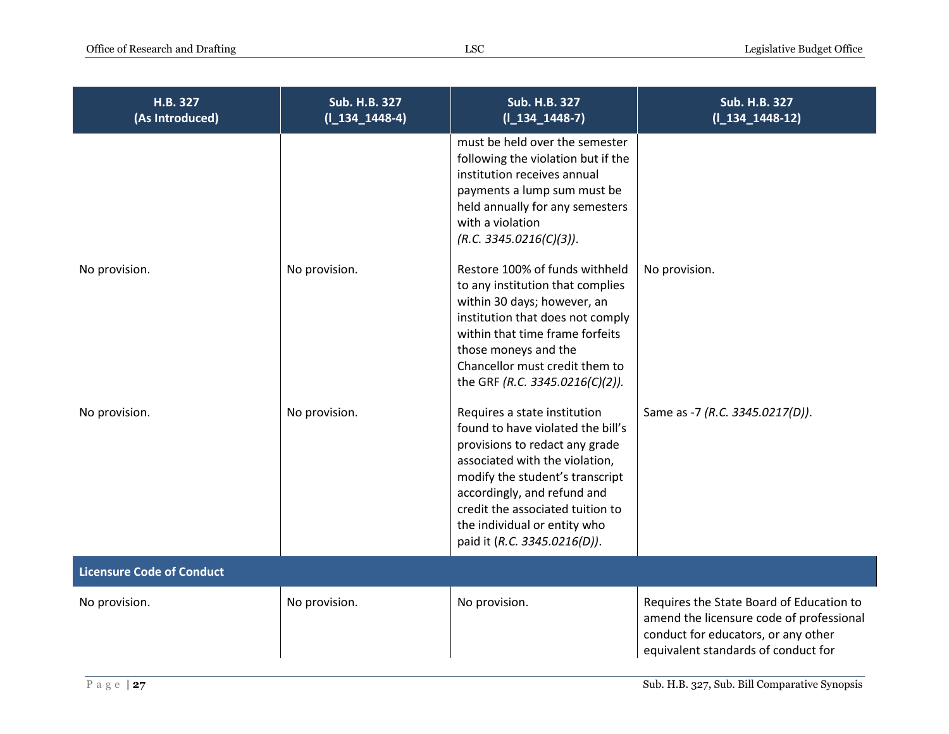| H.B. 327<br>(As Introduced)      | <b>Sub. H.B. 327</b><br>$(I_134_1448-4)$ | <b>Sub. H.B. 327</b><br>$(I_134_1448-7)$                                                                                                                                                                                                                                                                    | Sub. H.B. 327<br>$(I_134_1448-12)$                                                                                                                                 |
|----------------------------------|------------------------------------------|-------------------------------------------------------------------------------------------------------------------------------------------------------------------------------------------------------------------------------------------------------------------------------------------------------------|--------------------------------------------------------------------------------------------------------------------------------------------------------------------|
|                                  |                                          | must be held over the semester<br>following the violation but if the<br>institution receives annual<br>payments a lump sum must be<br>held annually for any semesters<br>with a violation<br>(R.C. 3345.0216(C)(3)).                                                                                        |                                                                                                                                                                    |
| No provision.                    | No provision.                            | Restore 100% of funds withheld<br>to any institution that complies<br>within 30 days; however, an<br>institution that does not comply<br>within that time frame forfeits<br>those moneys and the<br>Chancellor must credit them to<br>the GRF (R.C. 3345.0216(C)(2)).                                       | No provision.                                                                                                                                                      |
| No provision.                    | No provision.                            | Requires a state institution<br>found to have violated the bill's<br>provisions to redact any grade<br>associated with the violation,<br>modify the student's transcript<br>accordingly, and refund and<br>credit the associated tuition to<br>the individual or entity who<br>paid it (R.C. 3345.0216(D)). | Same as -7 (R.C. 3345.0217(D)).                                                                                                                                    |
| <b>Licensure Code of Conduct</b> |                                          |                                                                                                                                                                                                                                                                                                             |                                                                                                                                                                    |
| No provision.                    | No provision.                            | No provision.                                                                                                                                                                                                                                                                                               | Requires the State Board of Education to<br>amend the licensure code of professional<br>conduct for educators, or any other<br>equivalent standards of conduct for |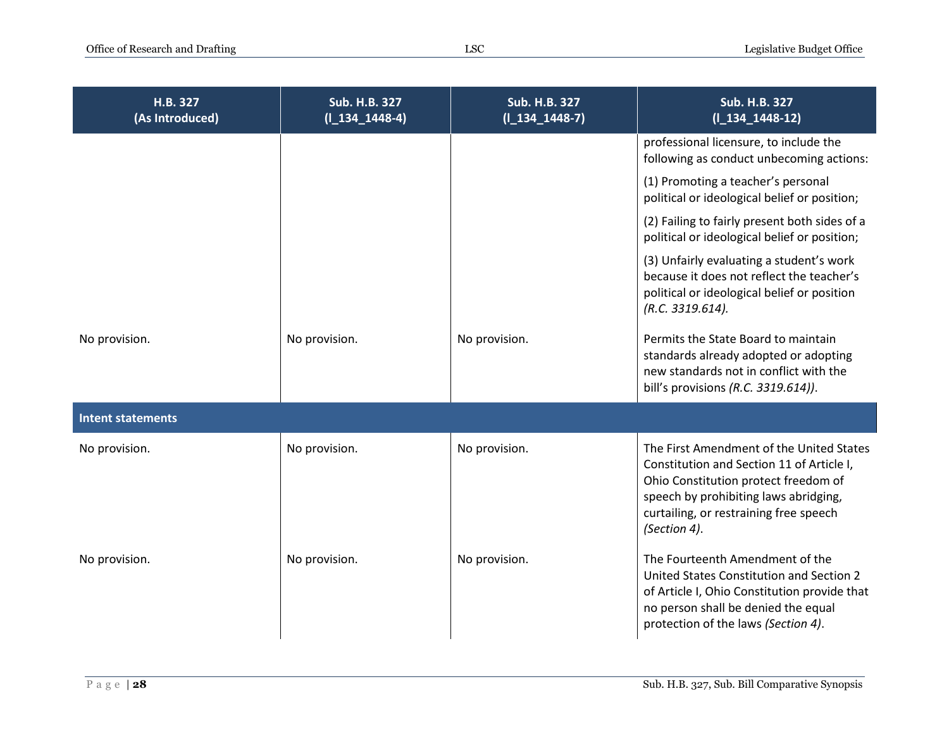| H.B. 327<br>(As Introduced) | Sub. H.B. 327<br>$(I_134_1448-4)$ | Sub. H.B. 327<br>$(I_134_1448-7)$ | <b>Sub. H.B. 327</b><br>$(I_134_1448-12)$                                                                                                                                                                                        |
|-----------------------------|-----------------------------------|-----------------------------------|----------------------------------------------------------------------------------------------------------------------------------------------------------------------------------------------------------------------------------|
|                             |                                   |                                   | professional licensure, to include the<br>following as conduct unbecoming actions:                                                                                                                                               |
|                             |                                   |                                   | (1) Promoting a teacher's personal<br>political or ideological belief or position;                                                                                                                                               |
|                             |                                   |                                   | (2) Failing to fairly present both sides of a<br>political or ideological belief or position;                                                                                                                                    |
|                             |                                   |                                   | (3) Unfairly evaluating a student's work<br>because it does not reflect the teacher's<br>political or ideological belief or position<br>(R.C. 3319.614).                                                                         |
| No provision.               | No provision.                     | No provision.                     | Permits the State Board to maintain<br>standards already adopted or adopting<br>new standards not in conflict with the<br>bill's provisions (R.C. 3319.614)).                                                                    |
| <b>Intent statements</b>    |                                   |                                   |                                                                                                                                                                                                                                  |
| No provision.               | No provision.                     | No provision.                     | The First Amendment of the United States<br>Constitution and Section 11 of Article I,<br>Ohio Constitution protect freedom of<br>speech by prohibiting laws abridging,<br>curtailing, or restraining free speech<br>(Section 4). |
| No provision.               | No provision.                     | No provision.                     | The Fourteenth Amendment of the<br>United States Constitution and Section 2<br>of Article I, Ohio Constitution provide that<br>no person shall be denied the equal<br>protection of the laws (Section 4).                        |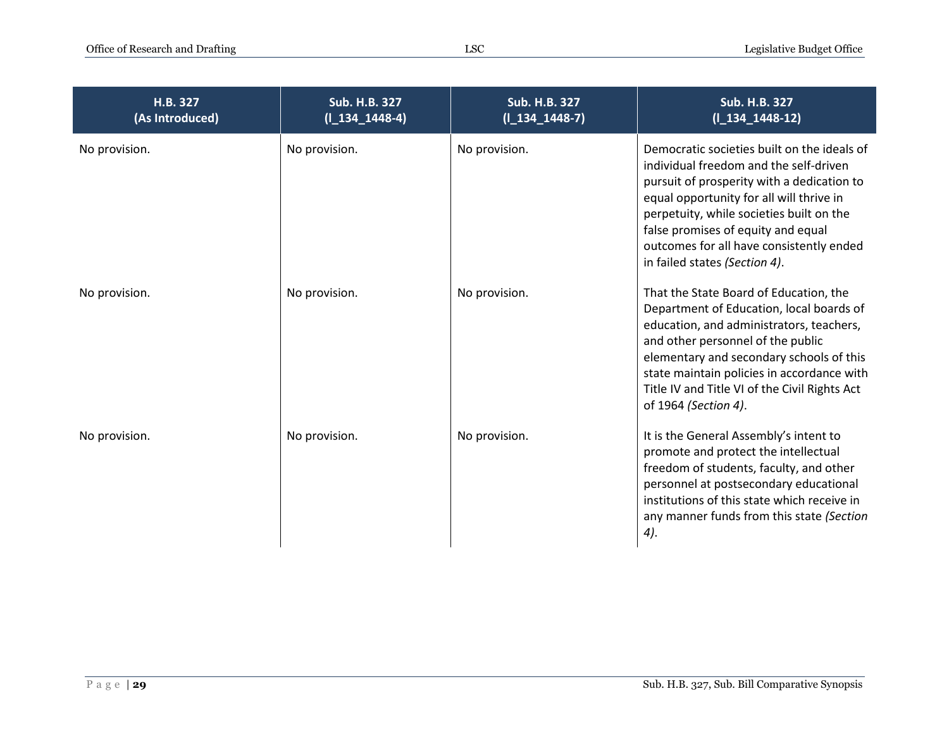| H.B. 327<br>(As Introduced) | <b>Sub. H.B. 327</b><br>$(I_134_1448-4)$ | <b>Sub. H.B. 327</b><br>$(I_134_1448-7)$ | <b>Sub. H.B. 327</b><br>$(I_134_1448-12)$                                                                                                                                                                                                                                                                                                      |
|-----------------------------|------------------------------------------|------------------------------------------|------------------------------------------------------------------------------------------------------------------------------------------------------------------------------------------------------------------------------------------------------------------------------------------------------------------------------------------------|
| No provision.               | No provision.                            | No provision.                            | Democratic societies built on the ideals of<br>individual freedom and the self-driven<br>pursuit of prosperity with a dedication to<br>equal opportunity for all will thrive in<br>perpetuity, while societies built on the<br>false promises of equity and equal<br>outcomes for all have consistently ended<br>in failed states (Section 4). |
| No provision.               | No provision.                            | No provision.                            | That the State Board of Education, the<br>Department of Education, local boards of<br>education, and administrators, teachers,<br>and other personnel of the public<br>elementary and secondary schools of this<br>state maintain policies in accordance with<br>Title IV and Title VI of the Civil Rights Act<br>of 1964 (Section 4).         |
| No provision.               | No provision.                            | No provision.                            | It is the General Assembly's intent to<br>promote and protect the intellectual<br>freedom of students, faculty, and other<br>personnel at postsecondary educational<br>institutions of this state which receive in<br>any manner funds from this state (Section<br>4).                                                                         |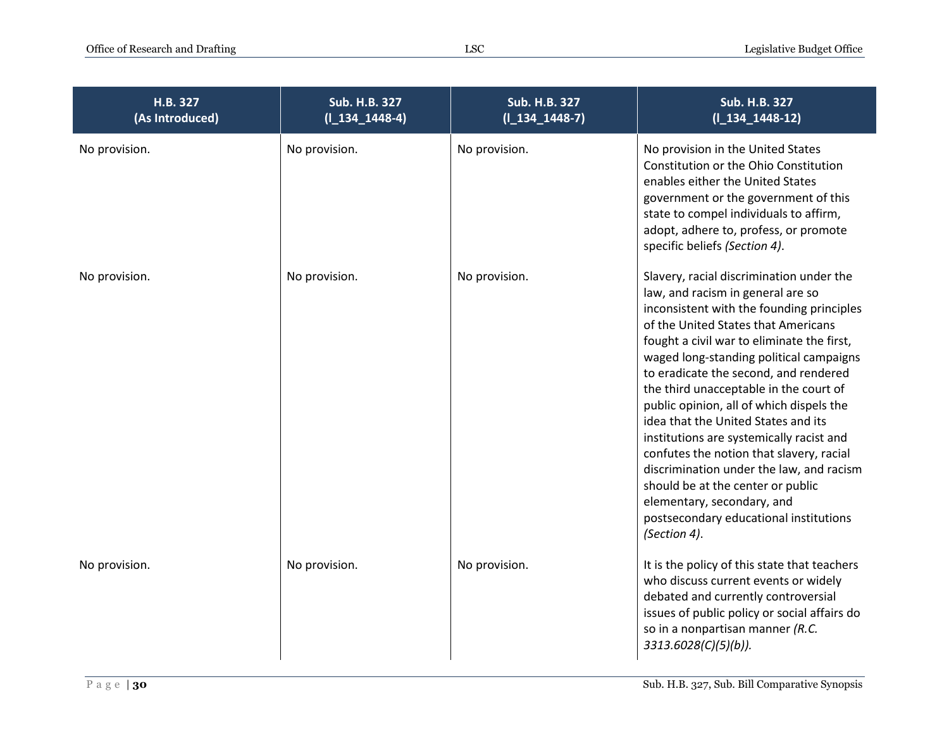| H.B. 327<br>(As Introduced) | Sub. H.B. 327<br>$(I_134_1448-4)$ | <b>Sub. H.B. 327</b><br>$(I_134_1448-7)$ | Sub. H.B. 327<br>$(I_134_1448-12)$                                                                                                                                                                                                                                                                                                                                                                                                                                                                                                                                                                                                                                                                |
|-----------------------------|-----------------------------------|------------------------------------------|---------------------------------------------------------------------------------------------------------------------------------------------------------------------------------------------------------------------------------------------------------------------------------------------------------------------------------------------------------------------------------------------------------------------------------------------------------------------------------------------------------------------------------------------------------------------------------------------------------------------------------------------------------------------------------------------------|
| No provision.               | No provision.                     | No provision.                            | No provision in the United States<br>Constitution or the Ohio Constitution<br>enables either the United States<br>government or the government of this<br>state to compel individuals to affirm,<br>adopt, adhere to, profess, or promote<br>specific beliefs (Section 4).                                                                                                                                                                                                                                                                                                                                                                                                                        |
| No provision.               | No provision.                     | No provision.                            | Slavery, racial discrimination under the<br>law, and racism in general are so<br>inconsistent with the founding principles<br>of the United States that Americans<br>fought a civil war to eliminate the first,<br>waged long-standing political campaigns<br>to eradicate the second, and rendered<br>the third unacceptable in the court of<br>public opinion, all of which dispels the<br>idea that the United States and its<br>institutions are systemically racist and<br>confutes the notion that slavery, racial<br>discrimination under the law, and racism<br>should be at the center or public<br>elementary, secondary, and<br>postsecondary educational institutions<br>(Section 4). |
| No provision.               | No provision.                     | No provision.                            | It is the policy of this state that teachers<br>who discuss current events or widely<br>debated and currently controversial<br>issues of public policy or social affairs do<br>so in a nonpartisan manner (R.C.<br>3313.6028(C)(5)(b)).                                                                                                                                                                                                                                                                                                                                                                                                                                                           |